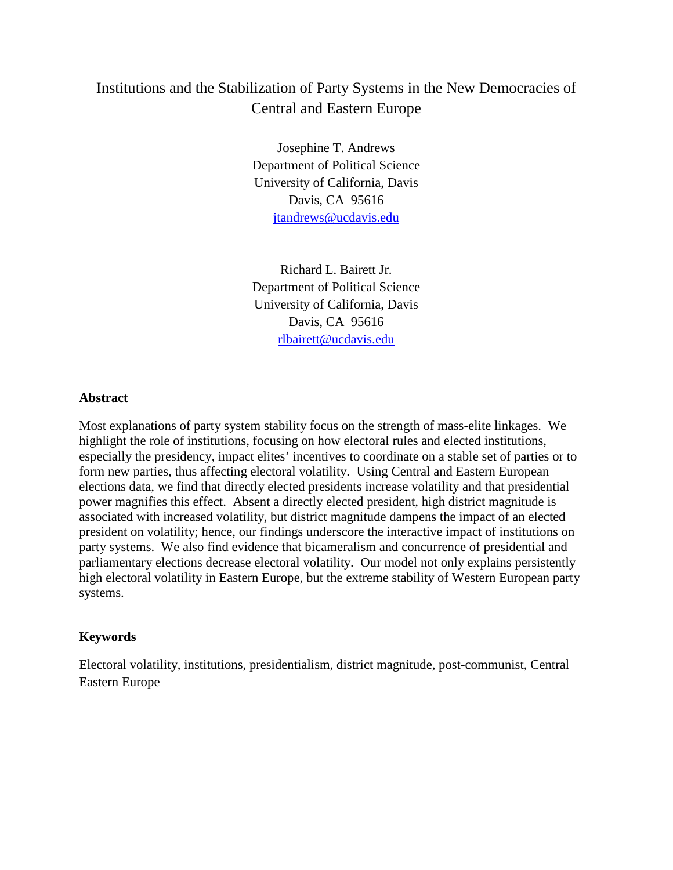# Institutions and the Stabilization of Party Systems in the New Democracies of Central and Eastern Europe

Josephine T. Andrews Department of Political Science University of California, Davis Davis, CA 95616 [jtandrews@ucdavis.edu](mailto:jtandrews@ucdavis.edu)

Richard L. Bairett Jr. Department of Political Science University of California, Davis Davis, CA 95616 [rlbairett@ucdavis.edu](mailto:rlbairett@ucdavis.edu)

## **Abstract**

Most explanations of party system stability focus on the strength of mass-elite linkages. We highlight the role of institutions, focusing on how electoral rules and elected institutions, especially the presidency, impact elites' incentives to coordinate on a stable set of parties or to form new parties, thus affecting electoral volatility. Using Central and Eastern European elections data, we find that directly elected presidents increase volatility and that presidential power magnifies this effect. Absent a directly elected president, high district magnitude is associated with increased volatility, but district magnitude dampens the impact of an elected president on volatility; hence, our findings underscore the interactive impact of institutions on party systems. We also find evidence that bicameralism and concurrence of presidential and parliamentary elections decrease electoral volatility. Our model not only explains persistently high electoral volatility in Eastern Europe, but the extreme stability of Western European party systems.

## **Keywords**

Electoral volatility, institutions, presidentialism, district magnitude, post-communist, Central Eastern Europe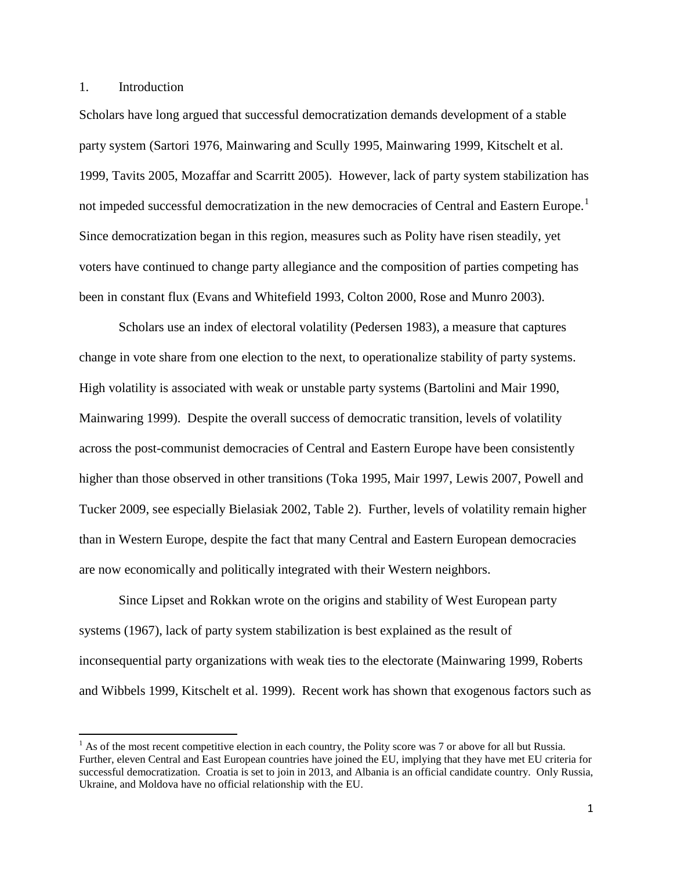1. Introduction

Scholars have long argued that successful democratization demands development of a stable party system (Sartori 1976, Mainwaring and Scully 1995, Mainwaring 1999, Kitschelt et al. 1999, Tavits 2005, Mozaffar and Scarritt 2005). However, lack of party system stabilization has not impeded successful democratization in the new democracies of Central and Eastern Europe.<sup>[1](#page-1-0)</sup> Since democratization began in this region, measures such as Polity have risen steadily, yet voters have continued to change party allegiance and the composition of parties competing has been in constant flux (Evans and Whitefield 1993, Colton 2000, Rose and Munro 2003).

Scholars use an index of electoral volatility (Pedersen 1983), a measure that captures change in vote share from one election to the next, to operationalize stability of party systems. High volatility is associated with weak or unstable party systems (Bartolini and Mair 1990, Mainwaring 1999). Despite the overall success of democratic transition, levels of volatility across the post-communist democracies of Central and Eastern Europe have been consistently higher than those observed in other transitions (Toka 1995, Mair 1997, Lewis 2007, Powell and Tucker 2009, see especially Bielasiak 2002, Table 2). Further, levels of volatility remain higher than in Western Europe, despite the fact that many Central and Eastern European democracies are now economically and politically integrated with their Western neighbors.

Since Lipset and Rokkan wrote on the origins and stability of West European party systems (1967), lack of party system stabilization is best explained as the result of inconsequential party organizations with weak ties to the electorate (Mainwaring 1999, Roberts and Wibbels 1999, Kitschelt et al. 1999). Recent work has shown that exogenous factors such as

<span id="page-1-0"></span> $<sup>1</sup>$  As of the most recent competitive election in each country, the Polity score was 7 or above for all but Russia.</sup> Further, eleven Central and East European countries have joined the EU, implying that they have met EU criteria for successful democratization. Croatia is set to join in 2013, and Albania is an official candidate country. Only Russia, Ukraine, and Moldova have no official relationship with the EU.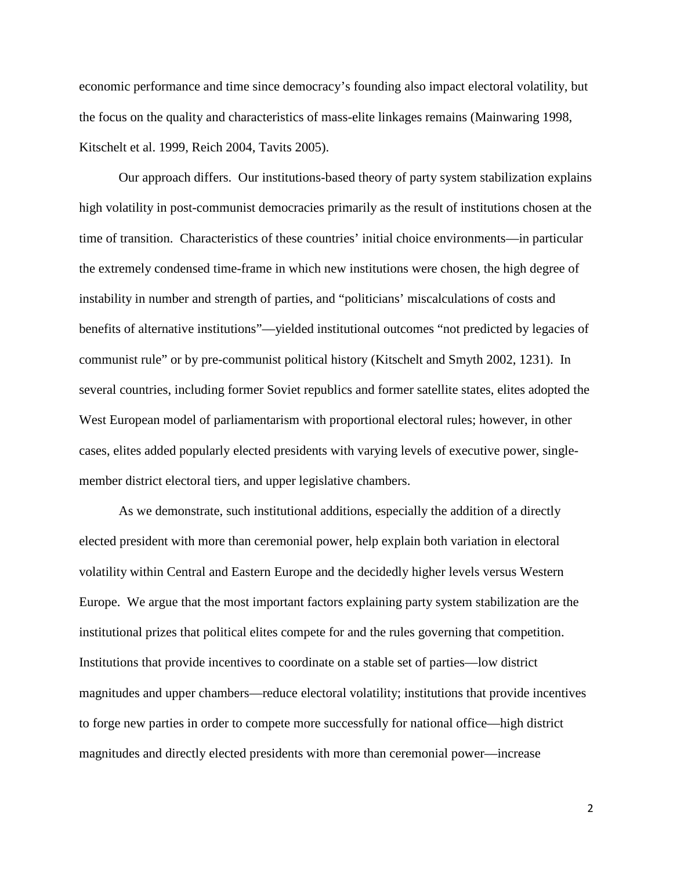economic performance and time since democracy's founding also impact electoral volatility, but the focus on the quality and characteristics of mass-elite linkages remains (Mainwaring 1998, Kitschelt et al. 1999, Reich 2004, Tavits 2005).

Our approach differs. Our institutions-based theory of party system stabilization explains high volatility in post-communist democracies primarily as the result of institutions chosen at the time of transition. Characteristics of these countries' initial choice environments—in particular the extremely condensed time-frame in which new institutions were chosen, the high degree of instability in number and strength of parties, and "politicians' miscalculations of costs and benefits of alternative institutions"—yielded institutional outcomes "not predicted by legacies of communist rule" or by pre-communist political history (Kitschelt and Smyth 2002, 1231). In several countries, including former Soviet republics and former satellite states, elites adopted the West European model of parliamentarism with proportional electoral rules; however, in other cases, elites added popularly elected presidents with varying levels of executive power, singlemember district electoral tiers, and upper legislative chambers.

As we demonstrate, such institutional additions, especially the addition of a directly elected president with more than ceremonial power, help explain both variation in electoral volatility within Central and Eastern Europe and the decidedly higher levels versus Western Europe. We argue that the most important factors explaining party system stabilization are the institutional prizes that political elites compete for and the rules governing that competition. Institutions that provide incentives to coordinate on a stable set of parties—low district magnitudes and upper chambers—reduce electoral volatility; institutions that provide incentives to forge new parties in order to compete more successfully for national office—high district magnitudes and directly elected presidents with more than ceremonial power—increase

2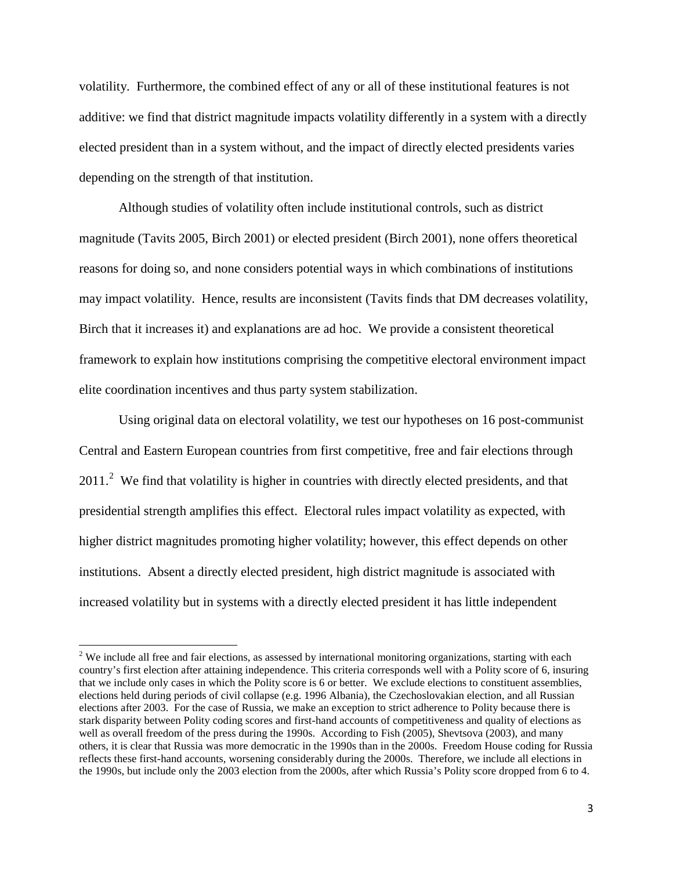volatility. Furthermore, the combined effect of any or all of these institutional features is not additive: we find that district magnitude impacts volatility differently in a system with a directly elected president than in a system without, and the impact of directly elected presidents varies depending on the strength of that institution.

Although studies of volatility often include institutional controls, such as district magnitude (Tavits 2005, Birch 2001) or elected president (Birch 2001), none offers theoretical reasons for doing so, and none considers potential ways in which combinations of institutions may impact volatility. Hence, results are inconsistent (Tavits finds that DM decreases volatility, Birch that it increases it) and explanations are ad hoc. We provide a consistent theoretical framework to explain how institutions comprising the competitive electoral environment impact elite coordination incentives and thus party system stabilization.

Using original data on electoral volatility, we test our hypotheses on 16 post-communist Central and Eastern European countries from first competitive, free and fair elections through  $2011<sup>2</sup>$  $2011<sup>2</sup>$  We find that volatility is higher in countries with directly elected presidents, and that presidential strength amplifies this effect. Electoral rules impact volatility as expected, with higher district magnitudes promoting higher volatility; however, this effect depends on other institutions. Absent a directly elected president, high district magnitude is associated with increased volatility but in systems with a directly elected president it has little independent

<span id="page-3-0"></span> $2$  We include all free and fair elections, as assessed by international monitoring organizations, starting with each country's first election after attaining independence. This criteria corresponds well with a Polity score of 6, insuring that we include only cases in which the Polity score is 6 or better. We exclude elections to constituent assemblies, elections held during periods of civil collapse (e.g. 1996 Albania), the Czechoslovakian election, and all Russian elections after 2003. For the case of Russia, we make an exception to strict adherence to Polity because there is stark disparity between Polity coding scores and first-hand accounts of competitiveness and quality of elections as well as overall freedom of the press during the 1990s. According to Fish (2005), Shevtsova (2003), and many others, it is clear that Russia was more democratic in the 1990s than in the 2000s. Freedom House coding for Russia reflects these first-hand accounts, worsening considerably during the 2000s. Therefore, we include all elections in the 1990s, but include only the 2003 election from the 2000s, after which Russia's Polity score dropped from 6 to 4.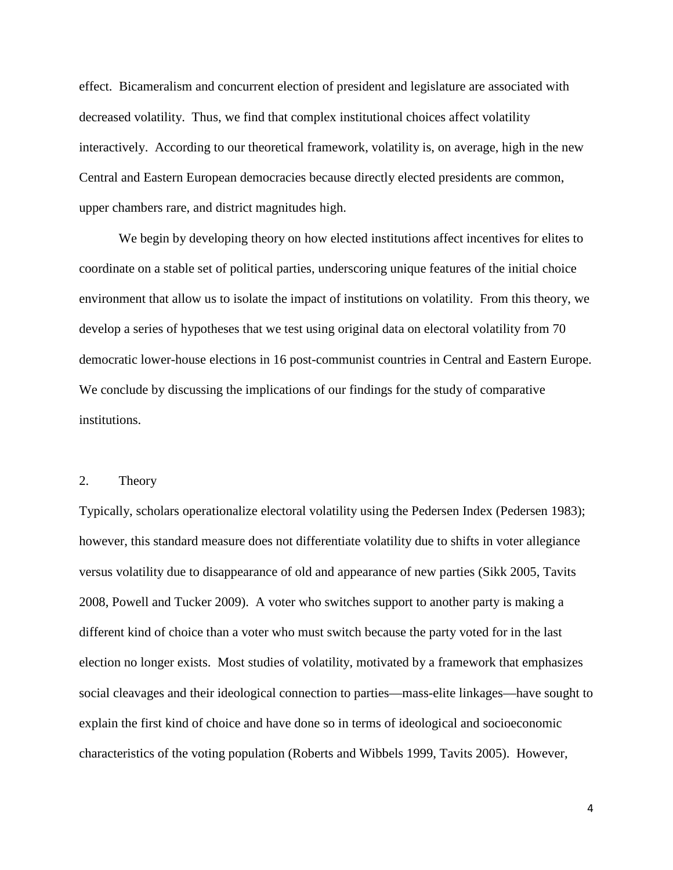effect. Bicameralism and concurrent election of president and legislature are associated with decreased volatility. Thus, we find that complex institutional choices affect volatility interactively. According to our theoretical framework, volatility is, on average, high in the new Central and Eastern European democracies because directly elected presidents are common, upper chambers rare, and district magnitudes high.

We begin by developing theory on how elected institutions affect incentives for elites to coordinate on a stable set of political parties, underscoring unique features of the initial choice environment that allow us to isolate the impact of institutions on volatility. From this theory, we develop a series of hypotheses that we test using original data on electoral volatility from 70 democratic lower-house elections in 16 post-communist countries in Central and Eastern Europe. We conclude by discussing the implications of our findings for the study of comparative institutions.

#### 2. Theory

Typically, scholars operationalize electoral volatility using the Pedersen Index (Pedersen 1983); however, this standard measure does not differentiate volatility due to shifts in voter allegiance versus volatility due to disappearance of old and appearance of new parties (Sikk 2005, Tavits 2008, Powell and Tucker 2009). A voter who switches support to another party is making a different kind of choice than a voter who must switch because the party voted for in the last election no longer exists. Most studies of volatility, motivated by a framework that emphasizes social cleavages and their ideological connection to parties—mass-elite linkages—have sought to explain the first kind of choice and have done so in terms of ideological and socioeconomic characteristics of the voting population (Roberts and Wibbels 1999, Tavits 2005). However,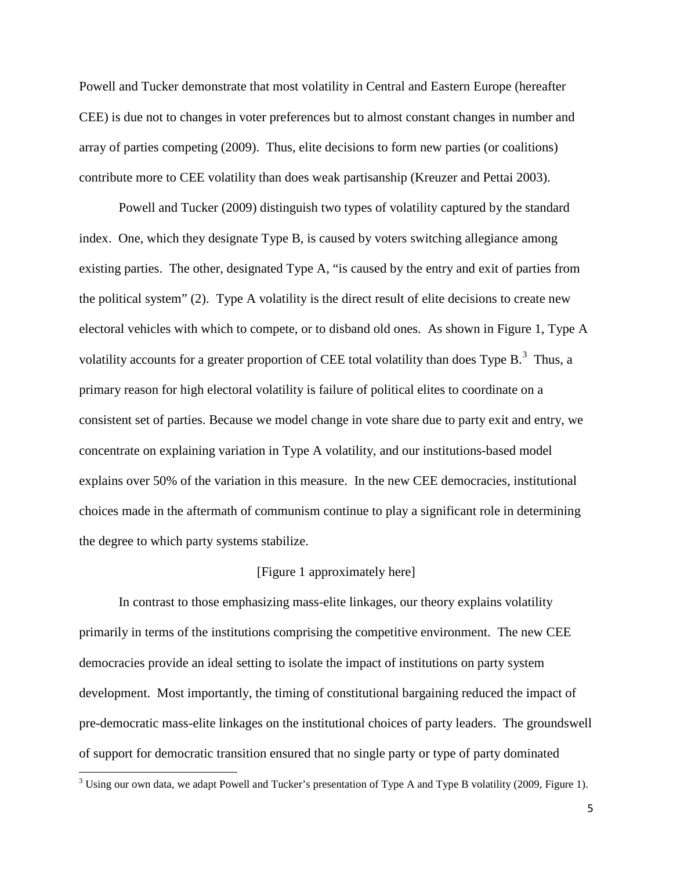Powell and Tucker demonstrate that most volatility in Central and Eastern Europe (hereafter CEE) is due not to changes in voter preferences but to almost constant changes in number and array of parties competing (2009). Thus, elite decisions to form new parties (or coalitions) contribute more to CEE volatility than does weak partisanship (Kreuzer and Pettai 2003).

Powell and Tucker (2009) distinguish two types of volatility captured by the standard index. One, which they designate Type B, is caused by voters switching allegiance among existing parties. The other, designated Type A, "is caused by the entry and exit of parties from the political system" (2). Type A volatility is the direct result of elite decisions to create new electoral vehicles with which to compete, or to disband old ones. As shown in Figure 1, Type A volatility accounts for a greater proportion of CEE total volatility than does Type  $B$ .<sup>[3](#page-5-0)</sup> Thus, a primary reason for high electoral volatility is failure of political elites to coordinate on a consistent set of parties. Because we model change in vote share due to party exit and entry, we concentrate on explaining variation in Type A volatility, and our institutions-based model explains over 50% of the variation in this measure. In the new CEE democracies, institutional choices made in the aftermath of communism continue to play a significant role in determining the degree to which party systems stabilize.

#### [Figure 1 approximately here]

In contrast to those emphasizing mass-elite linkages, our theory explains volatility primarily in terms of the institutions comprising the competitive environment. The new CEE democracies provide an ideal setting to isolate the impact of institutions on party system development. Most importantly, the timing of constitutional bargaining reduced the impact of pre-democratic mass-elite linkages on the institutional choices of party leaders. The groundswell of support for democratic transition ensured that no single party or type of party dominated

<span id="page-5-0"></span><sup>&</sup>lt;sup>3</sup> Using our own data, we adapt Powell and Tucker's presentation of Type A and Type B volatility (2009, Figure 1).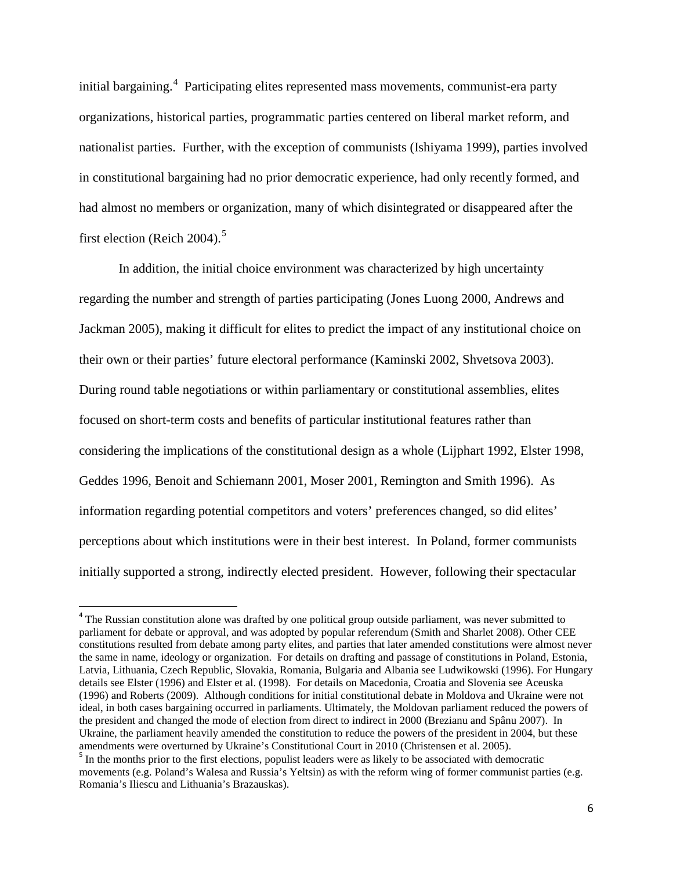initial bargaining.<sup>[4](#page-6-0)</sup> Participating elites represented mass movements, communist-era party organizations, historical parties, programmatic parties centered on liberal market reform, and nationalist parties. Further, with the exception of communists (Ishiyama 1999), parties involved in constitutional bargaining had no prior democratic experience, had only recently formed, and had almost no members or organization, many of which disintegrated or disappeared after the first election (Reich 2004).<sup>[5](#page-6-1)</sup>

In addition, the initial choice environment was characterized by high uncertainty regarding the number and strength of parties participating (Jones Luong 2000, Andrews and Jackman 2005), making it difficult for elites to predict the impact of any institutional choice on their own or their parties' future electoral performance (Kaminski 2002, Shvetsova 2003). During round table negotiations or within parliamentary or constitutional assemblies, elites focused on short-term costs and benefits of particular institutional features rather than considering the implications of the constitutional design as a whole (Lijphart 1992, Elster 1998, Geddes 1996, Benoit and Schiemann 2001, Moser 2001, Remington and Smith 1996). As information regarding potential competitors and voters' preferences changed, so did elites' perceptions about which institutions were in their best interest. In Poland, former communists initially supported a strong, indirectly elected president. However, following their spectacular

<span id="page-6-0"></span><sup>&</sup>lt;sup>4</sup> The Russian constitution alone was drafted by one political group outside parliament, was never submitted to parliament for debate or approval, and was adopted by popular referendum (Smith and Sharlet 2008). Other CEE constitutions resulted from debate among party elites, and parties that later amended constitutions were almost never the same in name, ideology or organization. For details on drafting and passage of constitutions in Poland, Estonia, Latvia, Lithuania, Czech Republic, Slovakia, Romania, Bulgaria and Albania see Ludwikowski (1996). For Hungary details see Elster (1996) and Elster et al. (1998). For details on Macedonia, Croatia and Slovenia see Aceuska (1996) and Roberts (2009). Although conditions for initial constitutional debate in Moldova and Ukraine were not ideal, in both cases bargaining occurred in parliaments. Ultimately, the Moldovan parliament reduced the powers of the president and changed the mode of election from direct to indirect in 2000 (Brezianu and Spânu 2007). In Ukraine, the parliament heavily amended the constitution to reduce the powers of the president in 2004, but these amendments were overturned by Ukraine's Constitutional Court in 2010 (Christensen et al. 2005).

<span id="page-6-1"></span><sup>&</sup>lt;sup>5</sup> In the months prior to the first elections, populist leaders were as likely to be associated with democratic movements (e.g. Poland's Walesa and Russia's Yeltsin) as with the reform wing of former communist parties (e.g. Romania's Iliescu and Lithuania's Brazauskas).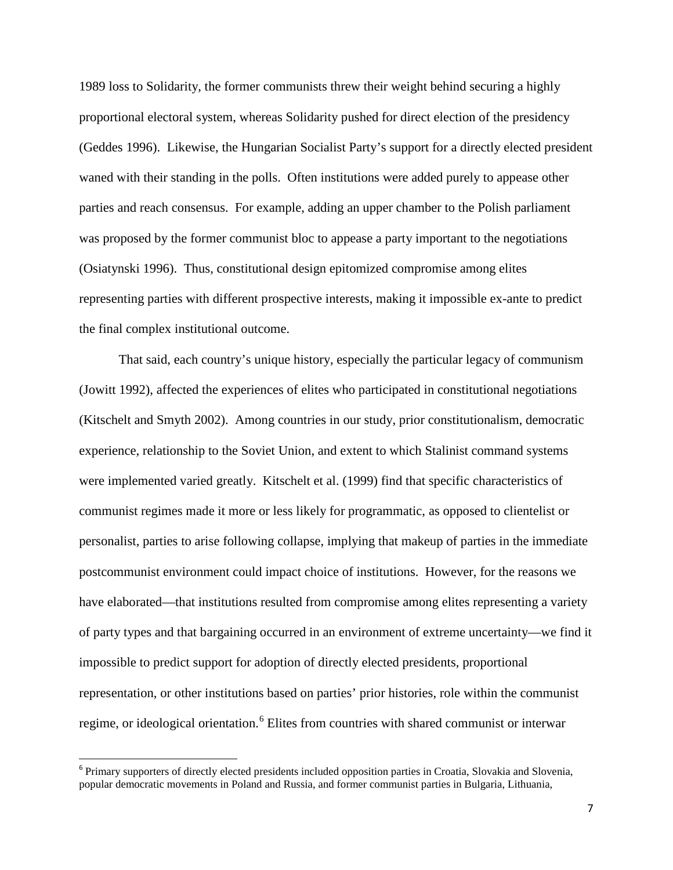1989 loss to Solidarity, the former communists threw their weight behind securing a highly proportional electoral system, whereas Solidarity pushed for direct election of the presidency (Geddes 1996). Likewise, the Hungarian Socialist Party's support for a directly elected president waned with their standing in the polls. Often institutions were added purely to appease other parties and reach consensus. For example, adding an upper chamber to the Polish parliament was proposed by the former communist bloc to appease a party important to the negotiations (Osiatynski 1996). Thus, constitutional design epitomized compromise among elites representing parties with different prospective interests, making it impossible ex-ante to predict the final complex institutional outcome.

That said, each country's unique history, especially the particular legacy of communism (Jowitt 1992), affected the experiences of elites who participated in constitutional negotiations (Kitschelt and Smyth 2002). Among countries in our study, prior constitutionalism, democratic experience, relationship to the Soviet Union, and extent to which Stalinist command systems were implemented varied greatly. Kitschelt et al. (1999) find that specific characteristics of communist regimes made it more or less likely for programmatic, as opposed to clientelist or personalist, parties to arise following collapse, implying that makeup of parties in the immediate postcommunist environment could impact choice of institutions. However, for the reasons we have elaborated—that institutions resulted from compromise among elites representing a variety of party types and that bargaining occurred in an environment of extreme uncertainty—we find it impossible to predict support for adoption of directly elected presidents, proportional representation, or other institutions based on parties' prior histories, role within the communist regime, or ideological orientation.<sup>[6](#page-7-0)</sup> Elites from countries with shared communist or interwar

<span id="page-7-0"></span><sup>&</sup>lt;sup>6</sup> Primary supporters of directly elected presidents included opposition parties in Croatia, Slovakia and Slovenia, popular democratic movements in Poland and Russia, and former communist parties in Bulgaria, Lithuania,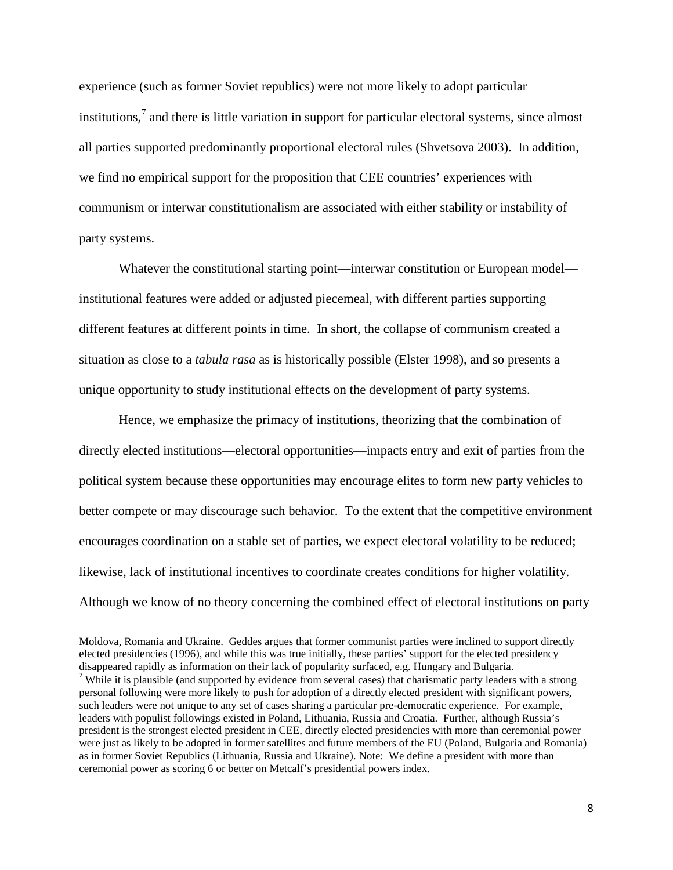experience (such as former Soviet republics) were not more likely to adopt particular institutions,<sup>[7](#page-8-0)</sup> and there is little variation in support for particular electoral systems, since almost all parties supported predominantly proportional electoral rules (Shvetsova 2003). In addition, we find no empirical support for the proposition that CEE countries' experiences with communism or interwar constitutionalism are associated with either stability or instability of party systems.

Whatever the constitutional starting point—interwar constitution or European model institutional features were added or adjusted piecemeal, with different parties supporting different features at different points in time. In short, the collapse of communism created a situation as close to a *tabula rasa* as is historically possible (Elster 1998), and so presents a unique opportunity to study institutional effects on the development of party systems.

Hence, we emphasize the primacy of institutions, theorizing that the combination of directly elected institutions—electoral opportunities—impacts entry and exit of parties from the political system because these opportunities may encourage elites to form new party vehicles to better compete or may discourage such behavior. To the extent that the competitive environment encourages coordination on a stable set of parties, we expect electoral volatility to be reduced; likewise, lack of institutional incentives to coordinate creates conditions for higher volatility. Although we know of no theory concerning the combined effect of electoral institutions on party

<span id="page-8-0"></span>Moldova, Romania and Ukraine. Geddes argues that former communist parties were inclined to support directly elected presidencies (1996), and while this was true initially, these parties' support for the elected presidency disappeared rapidly as information on their lack of popularity surfaced, e.g. Hungary and Bulgaria. <sup>7</sup> While it is plausible (and supported by evidence from several cases) that charismatic party leaders with a strong personal following were more likely to push for adoption of a directly elected president with significant powers, such leaders were not unique to any set of cases sharing a particular pre-democratic experience. For example, leaders with populist followings existed in Poland, Lithuania, Russia and Croatia. Further, although Russia's president is the strongest elected president in CEE, directly elected presidencies with more than ceremonial power were just as likely to be adopted in former satellites and future members of the EU (Poland, Bulgaria and Romania) as in former Soviet Republics (Lithuania, Russia and Ukraine). Note: We define a president with more than ceremonial power as scoring 6 or better on Metcalf's presidential powers index.

 $\overline{\phantom{a}}$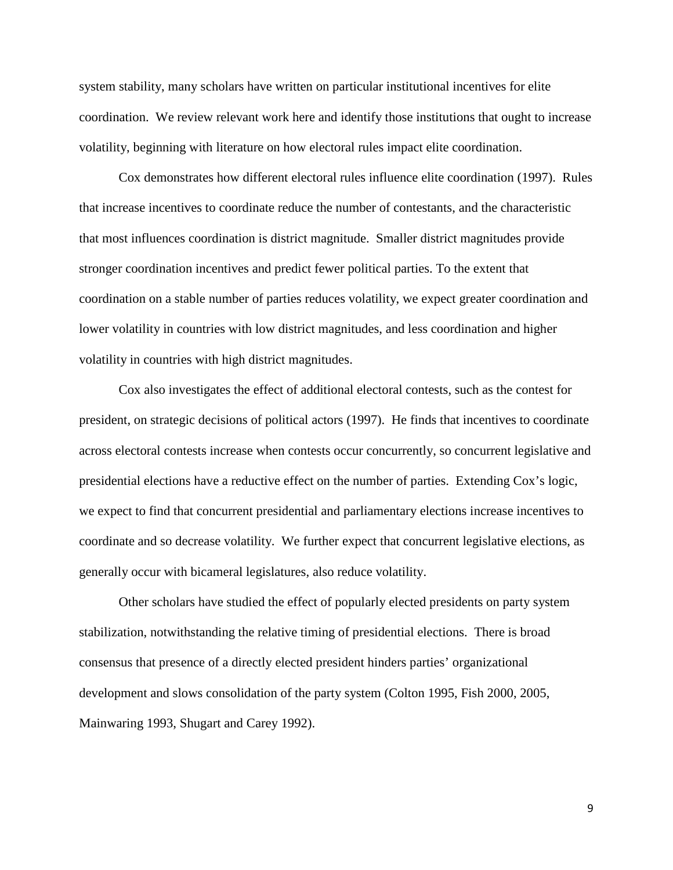system stability, many scholars have written on particular institutional incentives for elite coordination. We review relevant work here and identify those institutions that ought to increase volatility, beginning with literature on how electoral rules impact elite coordination.

Cox demonstrates how different electoral rules influence elite coordination (1997). Rules that increase incentives to coordinate reduce the number of contestants, and the characteristic that most influences coordination is district magnitude. Smaller district magnitudes provide stronger coordination incentives and predict fewer political parties. To the extent that coordination on a stable number of parties reduces volatility, we expect greater coordination and lower volatility in countries with low district magnitudes, and less coordination and higher volatility in countries with high district magnitudes.

Cox also investigates the effect of additional electoral contests, such as the contest for president, on strategic decisions of political actors (1997). He finds that incentives to coordinate across electoral contests increase when contests occur concurrently, so concurrent legislative and presidential elections have a reductive effect on the number of parties. Extending Cox's logic, we expect to find that concurrent presidential and parliamentary elections increase incentives to coordinate and so decrease volatility. We further expect that concurrent legislative elections, as generally occur with bicameral legislatures, also reduce volatility.

Other scholars have studied the effect of popularly elected presidents on party system stabilization, notwithstanding the relative timing of presidential elections. There is broad consensus that presence of a directly elected president hinders parties' organizational development and slows consolidation of the party system (Colton 1995, Fish 2000, 2005, Mainwaring 1993, Shugart and Carey 1992).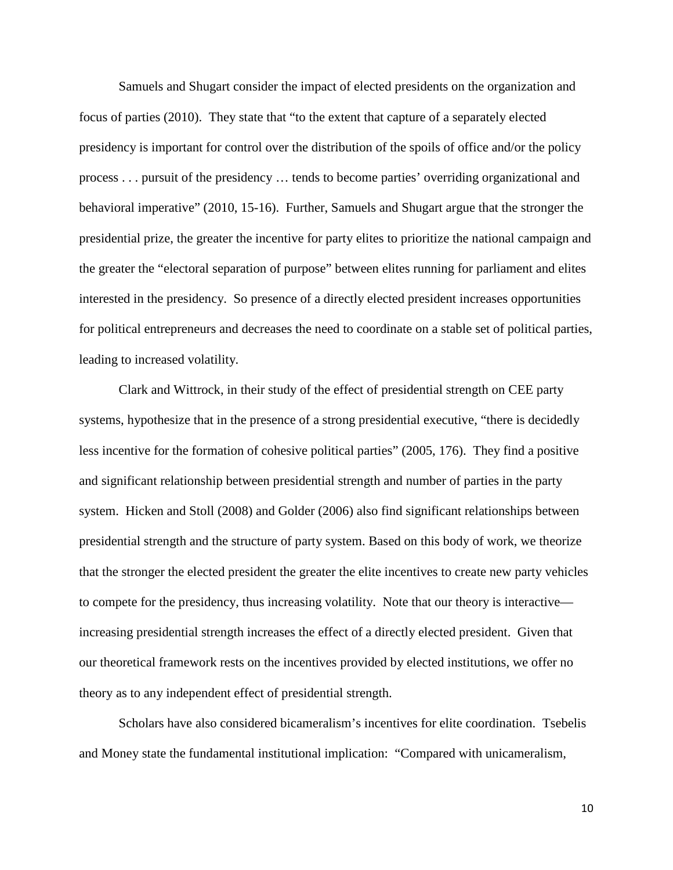Samuels and Shugart consider the impact of elected presidents on the organization and focus of parties (2010). They state that "to the extent that capture of a separately elected presidency is important for control over the distribution of the spoils of office and/or the policy process . . . pursuit of the presidency … tends to become parties' overriding organizational and behavioral imperative" (2010, 15-16). Further, Samuels and Shugart argue that the stronger the presidential prize, the greater the incentive for party elites to prioritize the national campaign and the greater the "electoral separation of purpose" between elites running for parliament and elites interested in the presidency. So presence of a directly elected president increases opportunities for political entrepreneurs and decreases the need to coordinate on a stable set of political parties, leading to increased volatility.

Clark and Wittrock, in their study of the effect of presidential strength on CEE party systems, hypothesize that in the presence of a strong presidential executive, "there is decidedly less incentive for the formation of cohesive political parties" (2005, 176). They find a positive and significant relationship between presidential strength and number of parties in the party system. Hicken and Stoll (2008) and Golder (2006) also find significant relationships between presidential strength and the structure of party system. Based on this body of work, we theorize that the stronger the elected president the greater the elite incentives to create new party vehicles to compete for the presidency, thus increasing volatility. Note that our theory is interactive increasing presidential strength increases the effect of a directly elected president. Given that our theoretical framework rests on the incentives provided by elected institutions, we offer no theory as to any independent effect of presidential strength.

Scholars have also considered bicameralism's incentives for elite coordination. Tsebelis and Money state the fundamental institutional implication: "Compared with unicameralism,

10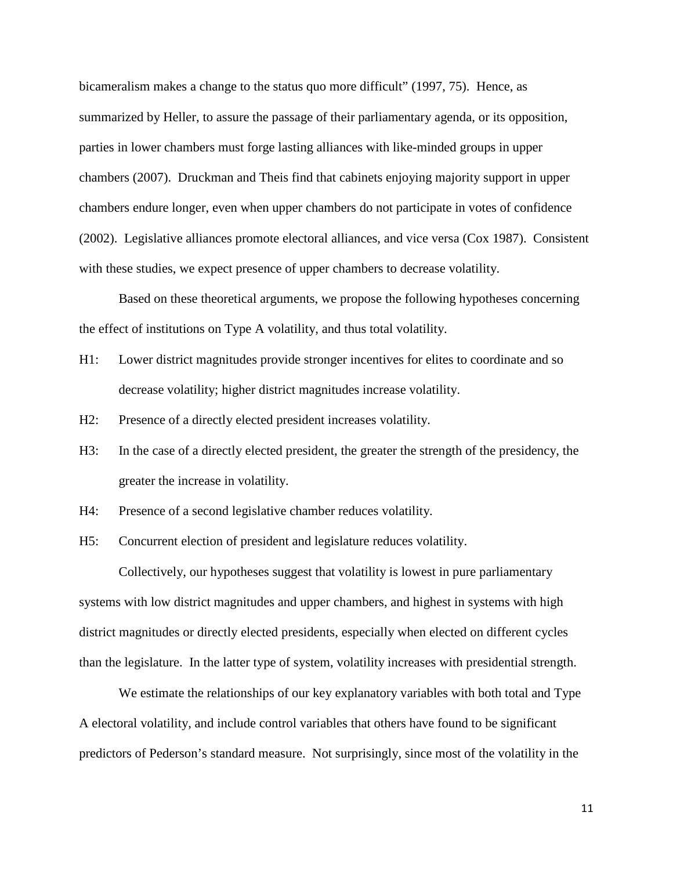bicameralism makes a change to the status quo more difficult" (1997, 75). Hence, as summarized by Heller, to assure the passage of their parliamentary agenda, or its opposition, parties in lower chambers must forge lasting alliances with like-minded groups in upper chambers (2007). Druckman and Theis find that cabinets enjoying majority support in upper chambers endure longer, even when upper chambers do not participate in votes of confidence (2002). Legislative alliances promote electoral alliances, and vice versa (Cox 1987). Consistent with these studies, we expect presence of upper chambers to decrease volatility.

Based on these theoretical arguments, we propose the following hypotheses concerning the effect of institutions on Type A volatility, and thus total volatility.

- H1: Lower district magnitudes provide stronger incentives for elites to coordinate and so decrease volatility; higher district magnitudes increase volatility.
- H2: Presence of a directly elected president increases volatility.
- H3: In the case of a directly elected president, the greater the strength of the presidency, the greater the increase in volatility.
- H4: Presence of a second legislative chamber reduces volatility.
- H5: Concurrent election of president and legislature reduces volatility.

Collectively, our hypotheses suggest that volatility is lowest in pure parliamentary systems with low district magnitudes and upper chambers, and highest in systems with high district magnitudes or directly elected presidents, especially when elected on different cycles than the legislature. In the latter type of system, volatility increases with presidential strength.

We estimate the relationships of our key explanatory variables with both total and Type A electoral volatility, and include control variables that others have found to be significant predictors of Pederson's standard measure. Not surprisingly, since most of the volatility in the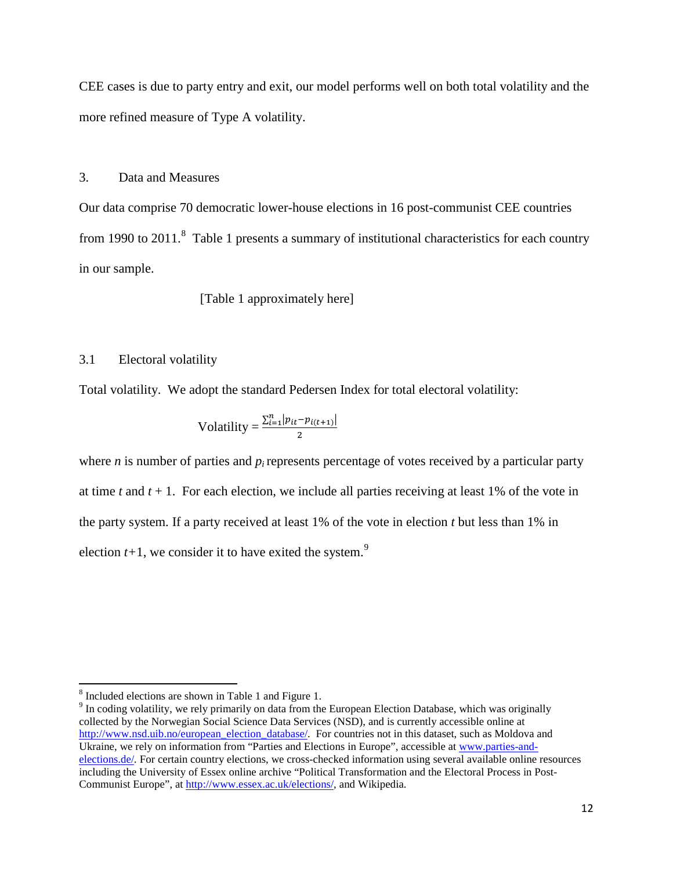CEE cases is due to party entry and exit, our model performs well on both total volatility and the more refined measure of Type A volatility.

3. Data and Measures

Our data comprise 70 democratic lower-house elections in 16 post-communist CEE countries from 1990 to 2011.<sup>[8](#page-12-0)</sup> Table 1 presents a summary of institutional characteristics for each country in our sample.

[Table 1 approximately here]

#### 3.1 Electoral volatility

Total volatility. We adopt the standard Pedersen Index for total electoral volatility:

$$
Volatility = \frac{\sum_{i=1}^{n} |p_{it} - p_{i(t+1)}|}{2}
$$

where *n* is number of parties and  $p_i$  represents percentage of votes received by a particular party at time  $t$  and  $t + 1$ . For each election, we include all parties receiving at least 1% of the vote in the party system. If a party received at least 1% of the vote in election *t* but less than 1% in election  $t+1$ , we consider it to have exited the system.<sup>[9](#page-12-1)</sup>

<span id="page-12-0"></span><sup>8</sup> Included elections are shown in Table 1 and Figure 1.

<span id="page-12-1"></span><sup>&</sup>lt;sup>9</sup> In coding volatility, we rely primarily on data from the European Election Database, which was originally collected by the Norwegian Social Science Data Services (NSD), and is currently accessible online at [http://www.nsd.uib.no/european\\_election\\_database/.](http://www.nsd.uib.no/european_election_database/) For countries not in this dataset, such as Moldova and Ukraine, we rely on information from "Parties and Elections in Europe", accessible at [www.parties-and](http://www.parties-and-elections.de/)[elections.de/](http://www.parties-and-elections.de/)*.* For certain country elections, we cross-checked information using several available online resources including the University of Essex online archive "Political Transformation and the Electoral Process in Post-Communist Europe", at [http://www.essex.ac.uk/elections/,](http://www.essex.ac.uk/elections/) and Wikipedia.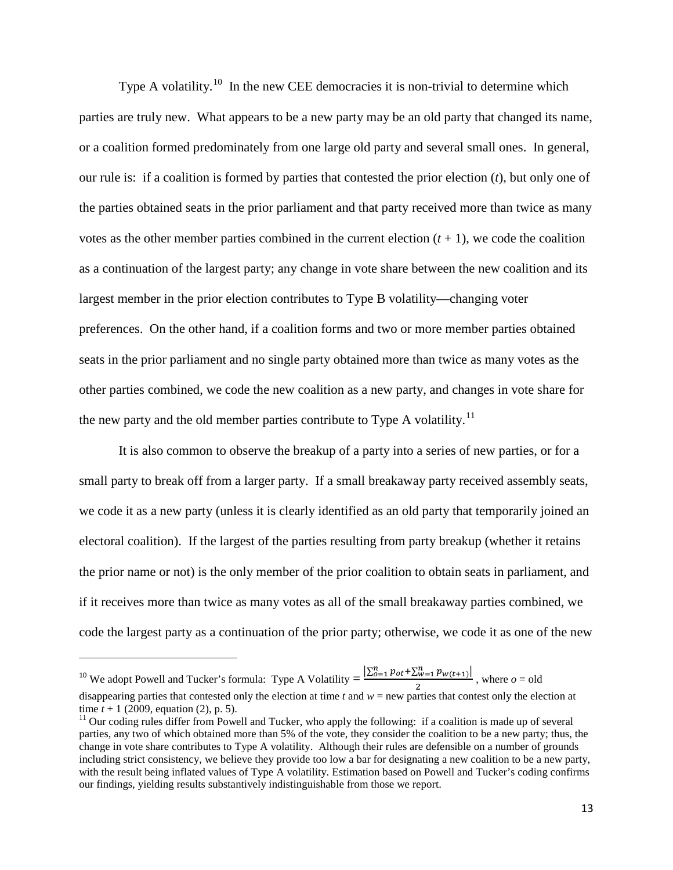Type A volatility.<sup>[10](#page-13-0)</sup> In the new CEE democracies it is non-trivial to determine which parties are truly new. What appears to be a new party may be an old party that changed its name, or a coalition formed predominately from one large old party and several small ones. In general, our rule is: if a coalition is formed by parties that contested the prior election (*t*), but only one of the parties obtained seats in the prior parliament and that party received more than twice as many votes as the other member parties combined in the current election  $(t + 1)$ , we code the coalition as a continuation of the largest party; any change in vote share between the new coalition and its largest member in the prior election contributes to Type B volatility—changing voter preferences. On the other hand, if a coalition forms and two or more member parties obtained seats in the prior parliament and no single party obtained more than twice as many votes as the other parties combined, we code the new coalition as a new party, and changes in vote share for the new party and the old member parties contribute to Type A volatility.<sup>[11](#page-13-1)</sup>

It is also common to observe the breakup of a party into a series of new parties, or for a small party to break off from a larger party. If a small breakaway party received assembly seats, we code it as a new party (unless it is clearly identified as an old party that temporarily joined an electoral coalition). If the largest of the parties resulting from party breakup (whether it retains the prior name or not) is the only member of the prior coalition to obtain seats in parliament, and if it receives more than twice as many votes as all of the small breakaway parties combined, we code the largest party as a continuation of the prior party; otherwise, we code it as one of the new

l

<span id="page-13-0"></span><sup>&</sup>lt;sup>10</sup> We adopt Powell and Tucker's formula: Type A Volatility =  $\frac{\left|\sum_{o=1}^{n} p_{ot} + \sum_{w=1}^{n} p_{w(t+1)}\right|}{2}$ , where  $o =$  old disappearing parties that contested only the election at time *t* and *w* = new parties that cont

<span id="page-13-1"></span>time  $t + 1$  (2009, equation (2), p. 5).<br><sup>11</sup> Our coding rules differ from Powell and Tucker, who apply the following: if a coalition is made up of several parties, any two of which obtained more than 5% of the vote, they consider the coalition to be a new party; thus, the change in vote share contributes to Type A volatility. Although their rules are defensible on a number of grounds including strict consistency, we believe they provide too low a bar for designating a new coalition to be a new party, with the result being inflated values of Type A volatility. Estimation based on Powell and Tucker's coding confirms our findings, yielding results substantively indistinguishable from those we report.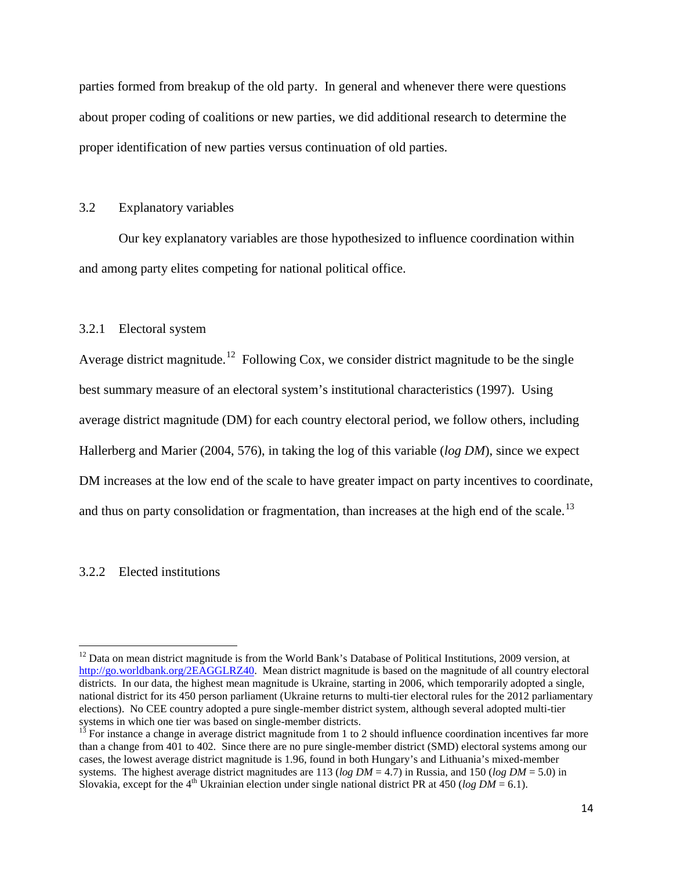parties formed from breakup of the old party. In general and whenever there were questions about proper coding of coalitions or new parties, we did additional research to determine the proper identification of new parties versus continuation of old parties.

## 3.2 Explanatory variables

Our key explanatory variables are those hypothesized to influence coordination within and among party elites competing for national political office.

### 3.2.1 Electoral system

Average district magnitude.<sup>[12](#page-14-0)</sup> Following Cox, we consider district magnitude to be the single best summary measure of an electoral system's institutional characteristics (1997). Using average district magnitude (DM) for each country electoral period, we follow others, including Hallerberg and Marier (2004, 576), in taking the log of this variable (*log DM*), since we expect DM increases at the low end of the scale to have greater impact on party incentives to coordinate, and thus on party consolidation or fragmentation, than increases at the high end of the scale.<sup>13</sup>

#### 3.2.2 Elected institutions

<span id="page-14-0"></span> $12$  Data on mean district magnitude is from the World Bank's Database of Political Institutions, 2009 version, at [http://go.worldbank.org/2EAGGLRZ40.](http://go.worldbank.org/2EAGGLRZ40) Mean district magnitude is based on the magnitude of all country electoral districts. In our data, the highest mean magnitude is Ukraine, starting in 2006, which temporarily adopted a single, national district for its 450 person parliament (Ukraine returns to multi-tier electoral rules for the 2012 parliamentary elections). No CEE country adopted a pure single-member district system, although several adopted multi-tier systems in which one tier was based on single-member districts.<br><sup>13</sup> For instance a change in average district magnitude from 1 to 2 should influence coordination incentives far more

<span id="page-14-1"></span>than a change from 401 to 402. Since there are no pure single-member district (SMD) electoral systems among our cases, the lowest average district magnitude is 1.96, found in both Hungary's and Lithuania's mixed-member systems. The highest average district magnitudes are 113 (*log DM* = 4.7) in Russia, and 150 (*log DM* = 5.0) in Slovakia, except for the 4<sup>th</sup> Ukrainian election under single national district PR at 450 (*log DM* = 6.1).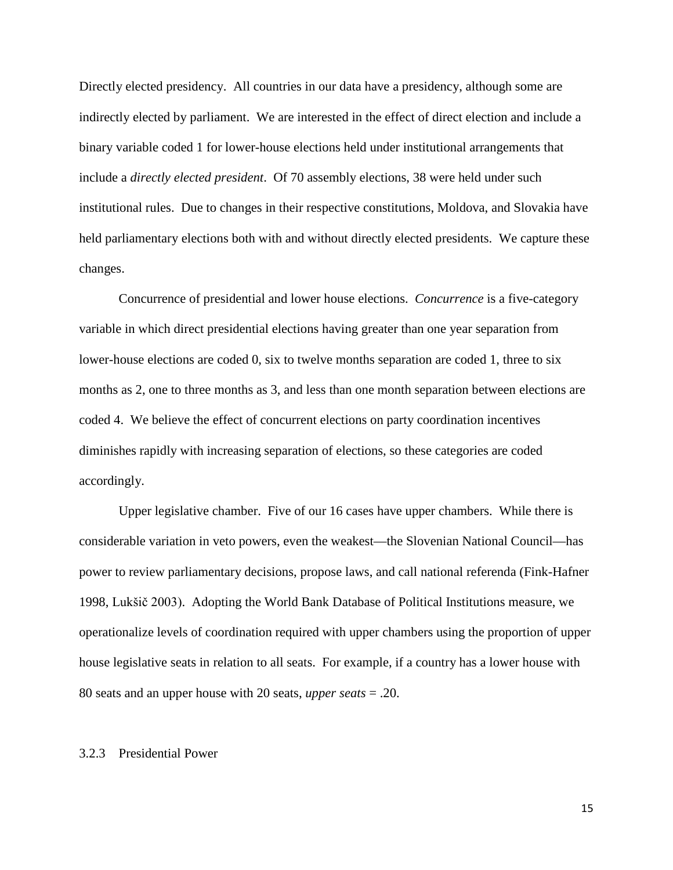Directly elected presidency. All countries in our data have a presidency, although some are indirectly elected by parliament. We are interested in the effect of direct election and include a binary variable coded 1 for lower-house elections held under institutional arrangements that include a *directly elected president*. Of 70 assembly elections, 38 were held under such institutional rules. Due to changes in their respective constitutions, Moldova, and Slovakia have held parliamentary elections both with and without directly elected presidents. We capture these changes.

Concurrence of presidential and lower house elections. *Concurrence* is a five-category variable in which direct presidential elections having greater than one year separation from lower-house elections are coded 0, six to twelve months separation are coded 1, three to six months as 2, one to three months as 3, and less than one month separation between elections are coded 4. We believe the effect of concurrent elections on party coordination incentives diminishes rapidly with increasing separation of elections, so these categories are coded accordingly.

Upper legislative chamber. Five of our 16 cases have upper chambers. While there is considerable variation in veto powers, even the weakest—the Slovenian National Council—has power to review parliamentary decisions, propose laws, and call national referenda (Fink-Hafner 1998, Lukšič 2003). Adopting the World Bank Database of Political Institutions measure, we operationalize levels of coordination required with upper chambers using the proportion of upper house legislative seats in relation to all seats. For example, if a country has a lower house with 80 seats and an upper house with 20 seats, *upper seats* = .20.

#### 3.2.3 Presidential Power

15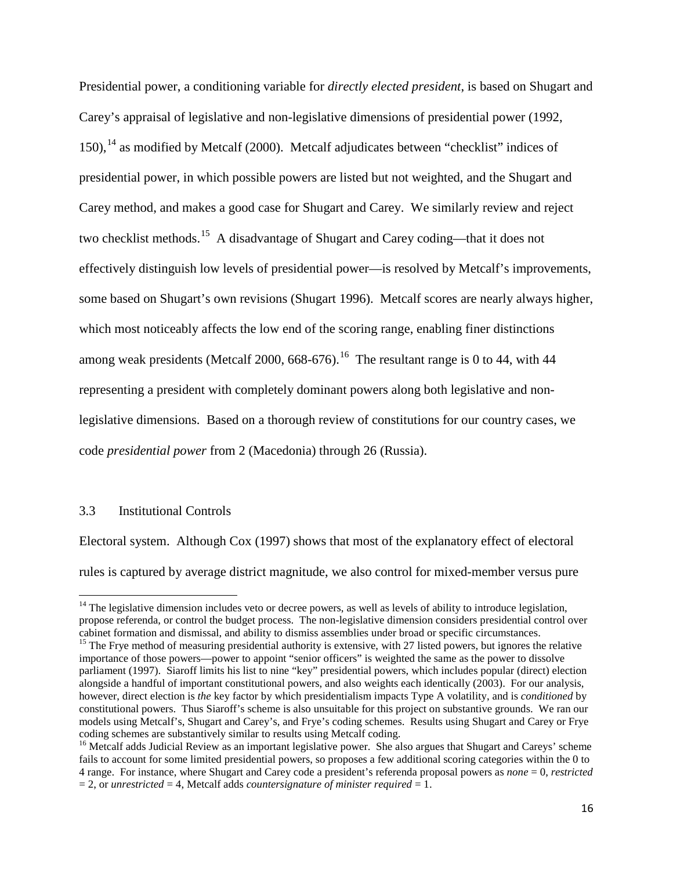Presidential power, a conditioning variable for *directly elected president*, is based on Shugart and Carey's appraisal of legislative and non-legislative dimensions of presidential power (1992, 150),<sup>[14](#page-16-0)</sup> as modified by Metcalf (2000). Metcalf adjudicates between "checklist" indices of presidential power, in which possible powers are listed but not weighted, and the Shugart and Carey method, and makes a good case for Shugart and Carey. We similarly review and reject two checklist methods.[15](#page-16-1) A disadvantage of Shugart and Carey coding—that it does not effectively distinguish low levels of presidential power—is resolved by Metcalf's improvements, some based on Shugart's own revisions (Shugart 1996). Metcalf scores are nearly always higher, which most noticeably affects the low end of the scoring range, enabling finer distinctions among weak presidents (Metcalf 2000, 668-676).<sup>16</sup> The resultant range is 0 to 44, with 44 representing a president with completely dominant powers along both legislative and nonlegislative dimensions. Based on a thorough review of constitutions for our country cases, we code *presidential power* from 2 (Macedonia) through 26 (Russia).

#### 3.3 Institutional Controls

Electoral system. Although Cox (1997) shows that most of the explanatory effect of electoral rules is captured by average district magnitude, we also control for mixed-member versus pure

<span id="page-16-0"></span> $14$  The legislative dimension includes veto or decree powers, as well as levels of ability to introduce legislation, propose referenda, or control the budget process. The non-legislative dimension considers presidential control over

<span id="page-16-1"></span><sup>&</sup>lt;sup>15</sup> The Frye method of measuring presidential authority is extensive, with 27 listed powers, but ignores the relative importance of those powers—power to appoint "senior officers" is weighted the same as the power to dissolve parliament (1997). Siaroff limits his list to nine "key" presidential powers, which includes popular (direct) election alongside a handful of important constitutional powers, and also weights each identically (2003). For our analysis, however, direct election is *the* key factor by which presidentialism impacts Type A volatility, and is *conditioned* by constitutional powers. Thus Siaroff's scheme is also unsuitable for this project on substantive grounds. We ran our models using Metcalf's, Shugart and Carey's, and Frye's coding schemes. Results using Shugart and Carey or Frye

<span id="page-16-2"></span><sup>&</sup>lt;sup>16</sup> Metcalf adds Judicial Review as an important legislative power. She also argues that Shugart and Careys' scheme fails to account for some limited presidential powers, so proposes a few additional scoring categories within the 0 to 4 range. For instance, where Shugart and Carey code a president's referenda proposal powers as *none* = 0, *restricted* = 2, or *unrestricted* = 4, Metcalf adds *countersignature of minister required* = 1.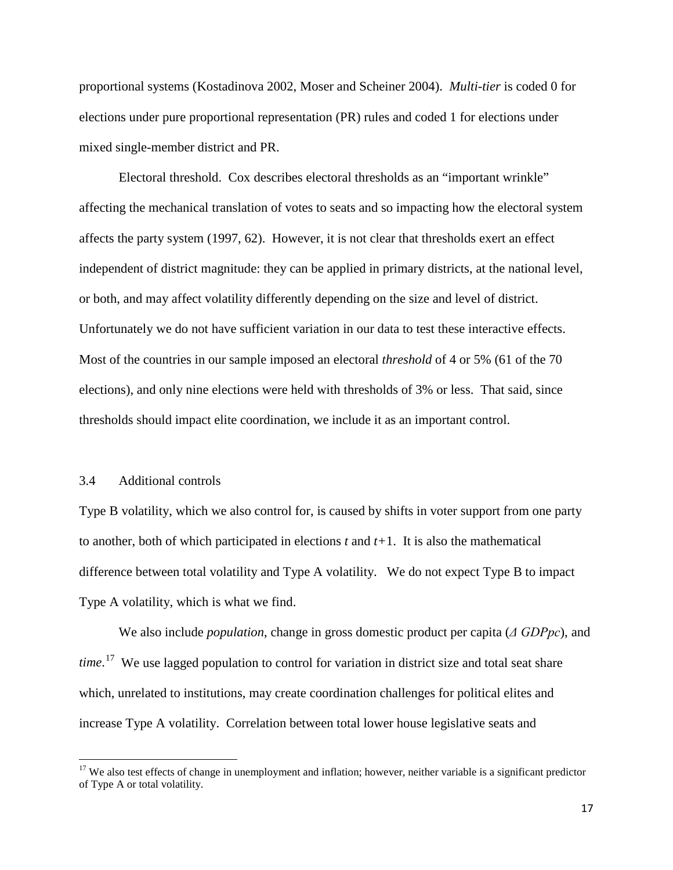proportional systems (Kostadinova 2002, Moser and Scheiner 2004). *Multi-tier* is coded 0 for elections under pure proportional representation (PR) rules and coded 1 for elections under mixed single-member district and PR.

Electoral threshold. Cox describes electoral thresholds as an "important wrinkle" affecting the mechanical translation of votes to seats and so impacting how the electoral system affects the party system (1997, 62). However, it is not clear that thresholds exert an effect independent of district magnitude: they can be applied in primary districts, at the national level, or both, and may affect volatility differently depending on the size and level of district. Unfortunately we do not have sufficient variation in our data to test these interactive effects. Most of the countries in our sample imposed an electoral *threshold* of 4 or 5% (61 of the 70 elections), and only nine elections were held with thresholds of 3% or less. That said, since thresholds should impact elite coordination, we include it as an important control.

#### 3.4 Additional controls

Type B volatility, which we also control for, is caused by shifts in voter support from one party to another, both of which participated in elections *t* and *t+*1. It is also the mathematical difference between total volatility and Type A volatility. We do not expect Type B to impact Type A volatility, which is what we find.

We also include *population*, change in gross domestic product per capita (*Δ GDPpc*), and *time*. [17](#page-17-0) We use lagged population to control for variation in district size and total seat share which, unrelated to institutions, may create coordination challenges for political elites and increase Type A volatility. Correlation between total lower house legislative seats and

<span id="page-17-0"></span> $17$  We also test effects of change in unemployment and inflation; however, neither variable is a significant predictor of Type A or total volatility.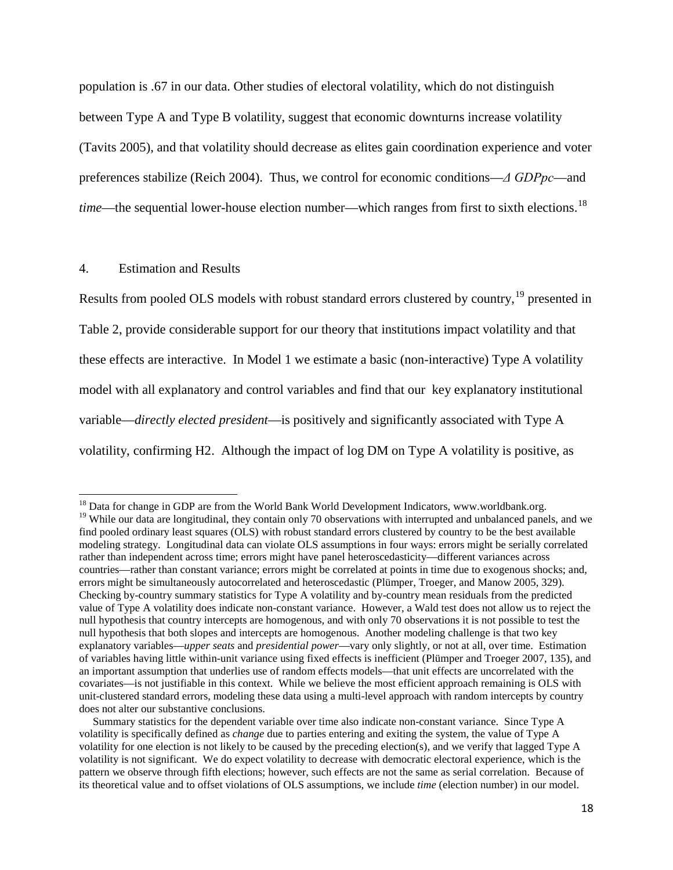population is .67 in our data. Other studies of electoral volatility, which do not distinguish between Type A and Type B volatility, suggest that economic downturns increase volatility (Tavits 2005), and that volatility should decrease as elites gain coordination experience and voter preferences stabilize (Reich 2004). Thus, we control for economic conditions—*Δ GDPpc*—and *time*—the sequential lower-house election number—which ranges from first to sixth elections. [18](#page-18-0)

#### 4. Estimation and Results

Results from pooled OLS models with robust standard errors clustered by country, <sup>[19](#page-18-1)</sup> presented in Table 2, provide considerable support for our theory that institutions impact volatility and that these effects are interactive. In Model 1 we estimate a basic (non-interactive) Type A volatility model with all explanatory and control variables and find that our key explanatory institutional variable—*directly elected president*—is positively and significantly associated with Type A volatility, confirming H2. Although the impact of log DM on Type A volatility is positive, as

<span id="page-18-1"></span><span id="page-18-0"></span><sup>&</sup>lt;sup>18</sup> Data for change in GDP are from the World Bank World Development Indicators, www.worldbank.org. <sup>19</sup> While our data are longitudinal, they contain only 70 observations with interrupted and unbalanced panels, and we find pooled ordinary least squares (OLS) with robust standard errors clustered by country to be the best available modeling strategy. Longitudinal data can violate OLS assumptions in four ways: errors might be serially correlated rather than independent across time; errors might have panel heteroscedasticity—different variances across countries—rather than constant variance; errors might be correlated at points in time due to exogenous shocks; and, errors might be simultaneously autocorrelated and heteroscedastic (Plümper, Troeger, and Manow 2005, 329). Checking by-country summary statistics for Type A volatility and by-country mean residuals from the predicted value of Type A volatility does indicate non-constant variance. However, a Wald test does not allow us to reject the null hypothesis that country intercepts are homogenous, and with only 70 observations it is not possible to test the null hypothesis that both slopes and intercepts are homogenous. Another modeling challenge is that two key explanatory variables—*upper seats* and *presidential power*—vary only slightly, or not at all, over time. Estimation of variables having little within-unit variance using fixed effects is inefficient (Plümper and Troeger 2007, 135), and an important assumption that underlies use of random effects models—that unit effects are uncorrelated with the covariates—is not justifiable in this context. While we believe the most efficient approach remaining is OLS with unit-clustered standard errors, modeling these data using a multi-level approach with random intercepts by country does not alter our substantive conclusions.

Summary statistics for the dependent variable over time also indicate non-constant variance. Since Type A volatility is specifically defined as *change* due to parties entering and exiting the system, the value of Type A volatility for one election is not likely to be caused by the preceding election(s), and we verify that lagged Type A volatility is not significant. We do expect volatility to decrease with democratic electoral experience, which is the pattern we observe through fifth elections; however, such effects are not the same as serial correlation. Because of its theoretical value and to offset violations of OLS assumptions, we include *time* (election number) in our model.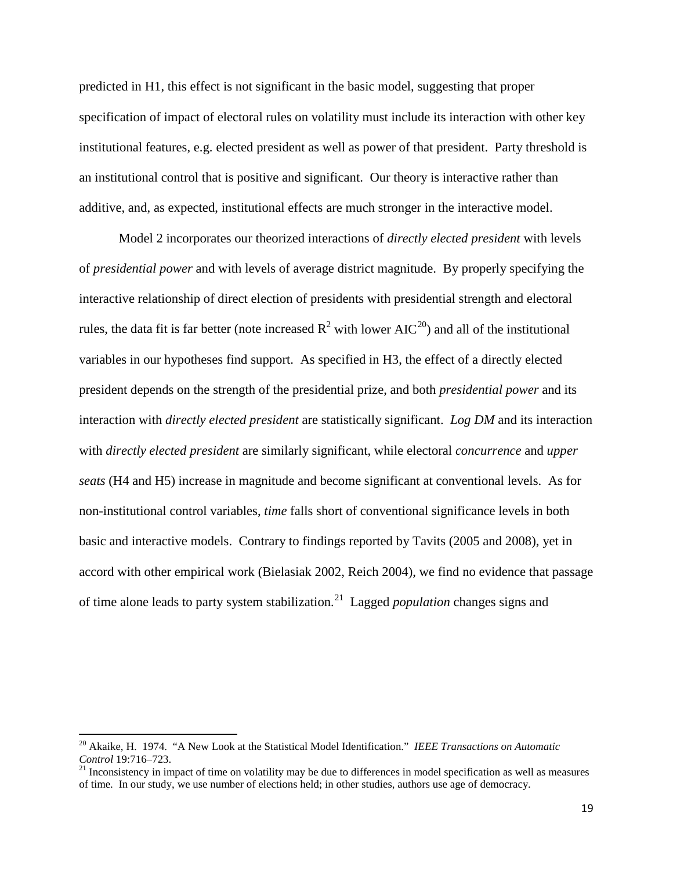predicted in H1, this effect is not significant in the basic model, suggesting that proper specification of impact of electoral rules on volatility must include its interaction with other key institutional features, e.g. elected president as well as power of that president. Party threshold is an institutional control that is positive and significant. Our theory is interactive rather than additive, and, as expected, institutional effects are much stronger in the interactive model.

Model 2 incorporates our theorized interactions of *directly elected president* with levels of *presidential power* and with levels of average district magnitude. By properly specifying the interactive relationship of direct election of presidents with presidential strength and electoral rules, the data fit is far better (note increased  $R^2$  with lower AIC<sup>[20](#page-19-0)</sup>) and all of the institutional variables in our hypotheses find support. As specified in H3, the effect of a directly elected president depends on the strength of the presidential prize, and both *presidential power* and its interaction with *directly elected president* are statistically significant. *Log DM* and its interaction with *directly elected president* are similarly significant, while electoral *concurrence* and *upper seats* (H4 and H5) increase in magnitude and become significant at conventional levels. As for non-institutional control variables, *time* falls short of conventional significance levels in both basic and interactive models. Contrary to findings reported by Tavits (2005 and 2008), yet in accord with other empirical work (Bielasiak 2002, Reich 2004), we find no evidence that passage of time alone leads to party system stabilization.<sup>[21](#page-19-1)</sup> Lagged *population* changes signs and

<span id="page-19-0"></span><sup>20</sup> Akaike, H. 1974. "A New Look at the Statistical Model Identification." *IEEE Transactions on Automatic Control* 19:716–723.

<span id="page-19-1"></span> $21$  Inconsistency in impact of time on volatility may be due to differences in model specification as well as measures of time. In our study, we use number of elections held; in other studies, authors use age of democracy.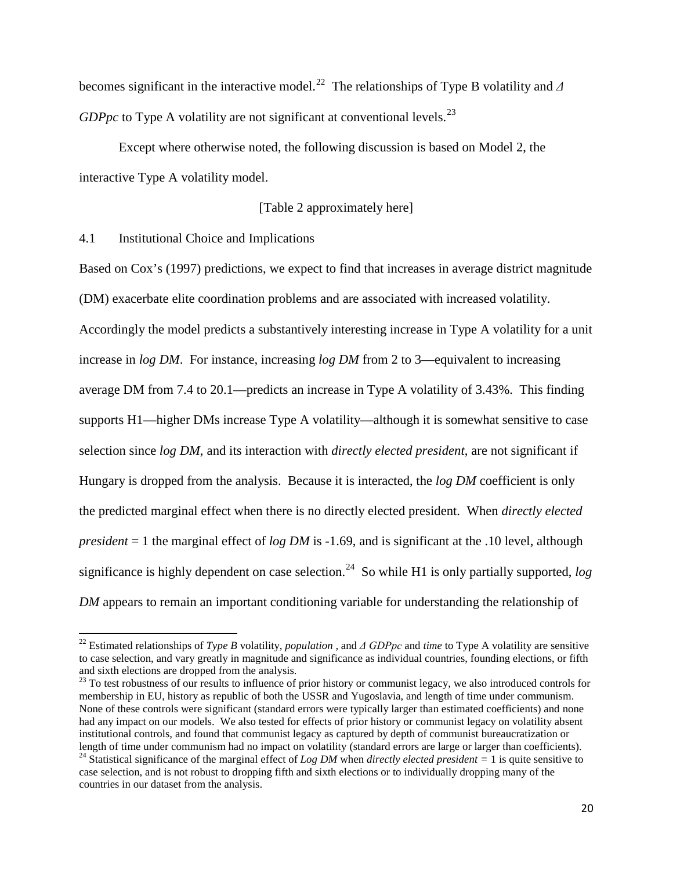becomes significant in the interactive model.[22](#page-20-0) The relationships of Type B volatility and *Δ GDPpc* to Type A volatility are not significant at conventional levels.<sup>[23](#page-20-1)</sup>

Except where otherwise noted, the following discussion is based on Model 2, the interactive Type A volatility model.

## [Table 2 approximately here]

4.1 Institutional Choice and Implications

Based on Cox's (1997) predictions, we expect to find that increases in average district magnitude (DM) exacerbate elite coordination problems and are associated with increased volatility. Accordingly the model predicts a substantively interesting increase in Type A volatility for a unit increase in *log DM*. For instance, increasing *log DM* from 2 to 3—equivalent to increasing average DM from 7.4 to 20.1—predicts an increase in Type A volatility of 3.43%. This finding supports H1—higher DMs increase Type A volatility—although it is somewhat sensitive to case selection since *log DM*, and its interaction with *directly elected president*, are not significant if Hungary is dropped from the analysis. Because it is interacted, the *log DM* coefficient is only the predicted marginal effect when there is no directly elected president. When *directly elected president* = 1 the marginal effect of *log DM* is -1.69, and is significant at the .10 level, although significance is highly dependent on case selection. [24](#page-20-2) So while H1 is only partially supported, *log DM* appears to remain an important conditioning variable for understanding the relationship of

<span id="page-20-0"></span><sup>22</sup> Estimated relationships of *Type B* volatility, *population ,* and *Δ GDPpc* and *time* to Type A volatility are sensitive to case selection, and vary greatly in magnitude and significance as individual countries, founding elections, or fifth and sixth elections are dropped from the analysis.

<span id="page-20-1"></span><sup>&</sup>lt;sup>23</sup> To test robustness of our results to influence of prior history or communist legacy, we also introduced controls for membership in EU, history as republic of both the USSR and Yugoslavia, and length of time under communism. None of these controls were significant (standard errors were typically larger than estimated coefficients) and none had any impact on our models. We also tested for effects of prior history or communist legacy on volatility absent institutional controls, and found that communist legacy as captured by depth of communist bureaucratization or<br>length of time under communism had no impact on volatility (standard errors are large or larger than coefficien

<span id="page-20-2"></span><sup>&</sup>lt;sup>24</sup> Statistical significance of the marginal effect of *Log DM* when *directly elected president* = 1 is quite sensitive to case selection, and is not robust to dropping fifth and sixth elections or to individually dropping many of the countries in our dataset from the analysis.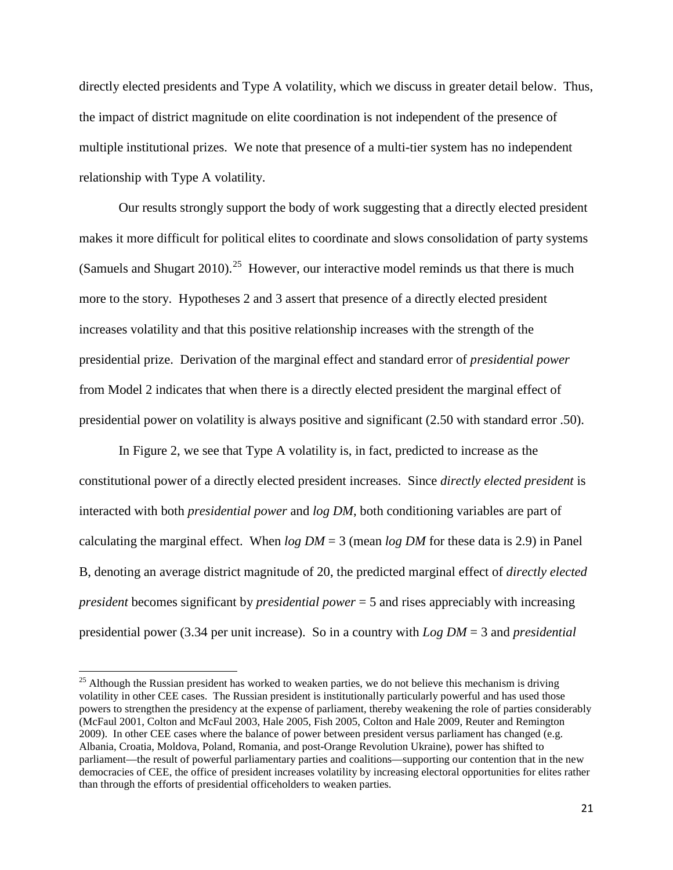directly elected presidents and Type A volatility, which we discuss in greater detail below. Thus, the impact of district magnitude on elite coordination is not independent of the presence of multiple institutional prizes. We note that presence of a multi-tier system has no independent relationship with Type A volatility.

Our results strongly support the body of work suggesting that a directly elected president makes it more difficult for political elites to coordinate and slows consolidation of party systems (Samuels and Shugart  $2010$ ).<sup>[25](#page-21-0)</sup> However, our interactive model reminds us that there is much more to the story. Hypotheses 2 and 3 assert that presence of a directly elected president increases volatility and that this positive relationship increases with the strength of the presidential prize. Derivation of the marginal effect and standard error of *presidential power* from Model 2 indicates that when there is a directly elected president the marginal effect of presidential power on volatility is always positive and significant (2.50 with standard error .50).

In Figure 2, we see that Type A volatility is, in fact, predicted to increase as the constitutional power of a directly elected president increases. Since *directly elected president* is interacted with both *presidential power* and *log DM*, both conditioning variables are part of calculating the marginal effect. When  $log DM = 3$  (mean  $log DM$  for these data is 2.9) in Panel B, denoting an average district magnitude of 20, the predicted marginal effect of *directly elected president* becomes significant by *presidential power* = 5 and rises appreciably with increasing presidential power (3.34 per unit increase). So in a country with *Log DM* = 3 and *presidential*

<span id="page-21-0"></span> $25$  Although the Russian president has worked to weaken parties, we do not believe this mechanism is driving volatility in other CEE cases. The Russian president is institutionally particularly powerful and has used those powers to strengthen the presidency at the expense of parliament, thereby weakening the role of parties considerably (McFaul 2001, Colton and McFaul 2003, Hale 2005, Fish 2005, Colton and Hale 2009, Reuter and Remington 2009). In other CEE cases where the balance of power between president versus parliament has changed (e.g. Albania, Croatia, Moldova, Poland, Romania, and post-Orange Revolution Ukraine), power has shifted to parliament—the result of powerful parliamentary parties and coalitions—supporting our contention that in the new democracies of CEE, the office of president increases volatility by increasing electoral opportunities for elites rather than through the efforts of presidential officeholders to weaken parties.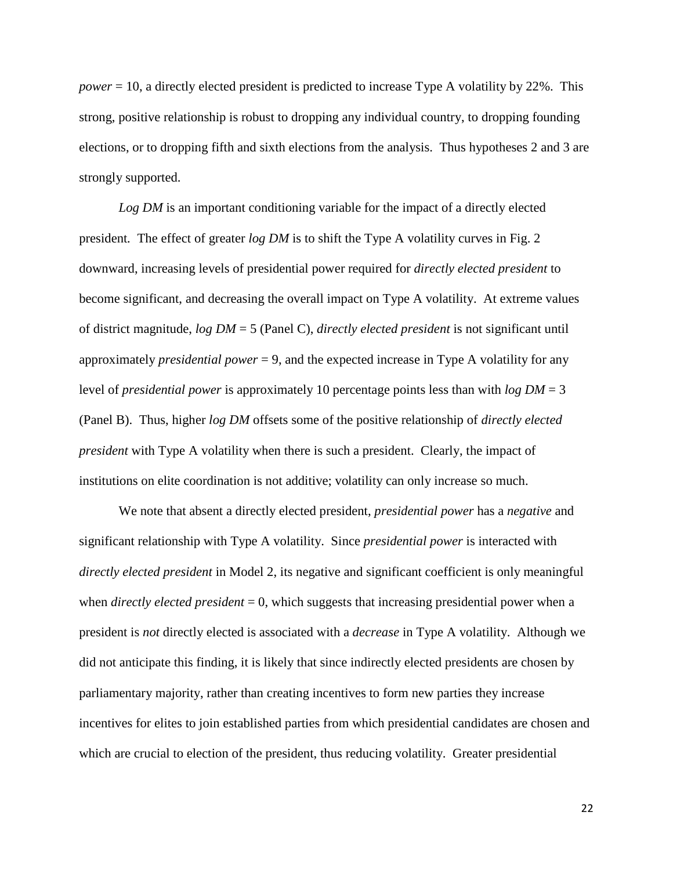*power* = 10, a directly elected president is predicted to increase Type A volatility by 22%. This strong, positive relationship is robust to dropping any individual country, to dropping founding elections, or to dropping fifth and sixth elections from the analysis. Thus hypotheses 2 and 3 are strongly supported.

*Log DM* is an important conditioning variable for the impact of a directly elected president*.* The effect of greater *log DM* is to shift the Type A volatility curves in Fig. 2 downward, increasing levels of presidential power required for *directly elected president* to become significant, and decreasing the overall impact on Type A volatility. At extreme values of district magnitude, *log DM* = 5 (Panel C), *directly elected president* is not significant until approximately *presidential power* = 9, and the expected increase in Type A volatility for any level of *presidential power* is approximately 10 percentage points less than with *log DM* = 3 (Panel B). Thus, higher *log DM* offsets some of the positive relationship of *directly elected president* with Type A volatility when there is such a president. Clearly, the impact of institutions on elite coordination is not additive; volatility can only increase so much.

We note that absent a directly elected president, *presidential power* has a *negative* and significant relationship with Type A volatility. Since *presidential power* is interacted with *directly elected president* in Model 2, its negative and significant coefficient is only meaningful when *directly elected president* = 0, which suggests that increasing presidential power when a president is *not* directly elected is associated with a *decrease* in Type A volatility. Although we did not anticipate this finding, it is likely that since indirectly elected presidents are chosen by parliamentary majority, rather than creating incentives to form new parties they increase incentives for elites to join established parties from which presidential candidates are chosen and which are crucial to election of the president, thus reducing volatility. Greater presidential

22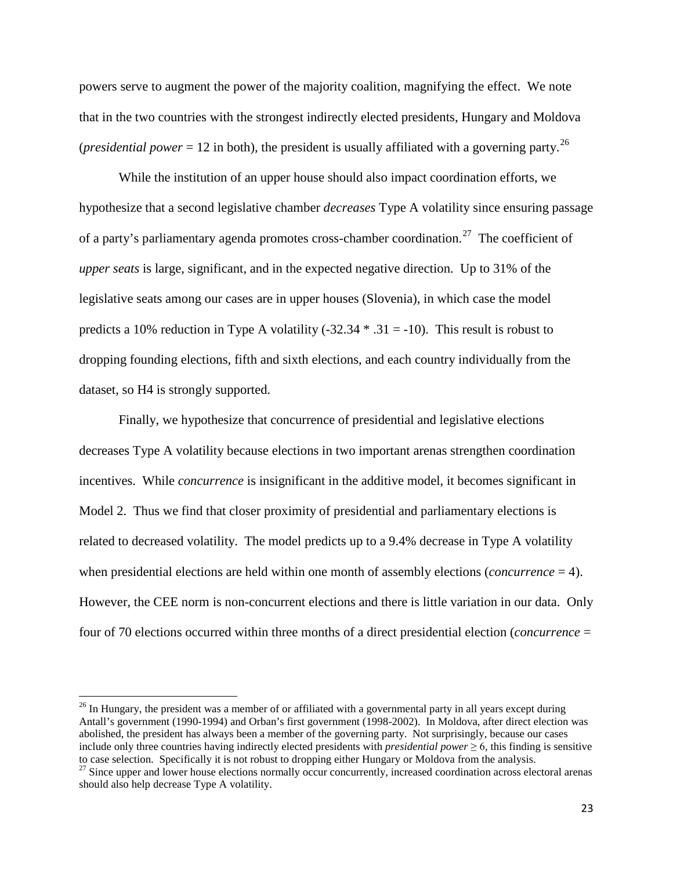powers serve to augment the power of the majority coalition, magnifying the effect. We note that in the two countries with the strongest indirectly elected presidents, Hungary and Moldova (*presidential power* = 12 in both), the president is usually affiliated with a governing party.<sup>[26](#page-23-0)</sup>

While the institution of an upper house should also impact coordination efforts, we hypothesize that a second legislative chamber *decreases* Type A volatility since ensuring passage of a party's parliamentary agenda promotes cross-chamber coordination.<sup>[27](#page-23-1)</sup> The coefficient of *upper seats* is large, significant, and in the expected negative direction. Up to 31% of the legislative seats among our cases are in upper houses (Slovenia), in which case the model predicts a 10% reduction in Type A volatility (-32.34  $*$  .31 = -10). This result is robust to dropping founding elections, fifth and sixth elections, and each country individually from the dataset, so H4 is strongly supported.

Finally, we hypothesize that concurrence of presidential and legislative elections decreases Type A volatility because elections in two important arenas strengthen coordination incentives. While *concurrence* is insignificant in the additive model, it becomes significant in Model 2. Thus we find that closer proximity of presidential and parliamentary elections is related to decreased volatility. The model predicts up to a 9.4% decrease in Type A volatility when presidential elections are held within one month of assembly elections (*concurrence* = 4). However, the CEE norm is non-concurrent elections and there is little variation in our data. Only four of 70 elections occurred within three months of a direct presidential election (*concurrence* =

<span id="page-23-0"></span><sup>&</sup>lt;sup>26</sup> In Hungary, the president was a member of or affiliated with a governmental party in all years except during Antall's government (1990-1994) and Orban's first government (1998-2002). In Moldova, after direct election was abolished, the president has always been a member of the governing party. Not surprisingly, because our cases include only three countries having indirectly elected presidents with *presidential power*  $\geq 6$ , this finding is sensitive to case selection. Specifically it is not robust to dropping either Hungary or Moldova from the analysis. <sup>27</sup> Since upper and lower house elections normally occur concurrently, increased coordination across electoral aren

<span id="page-23-1"></span>should also help decrease Type A volatility.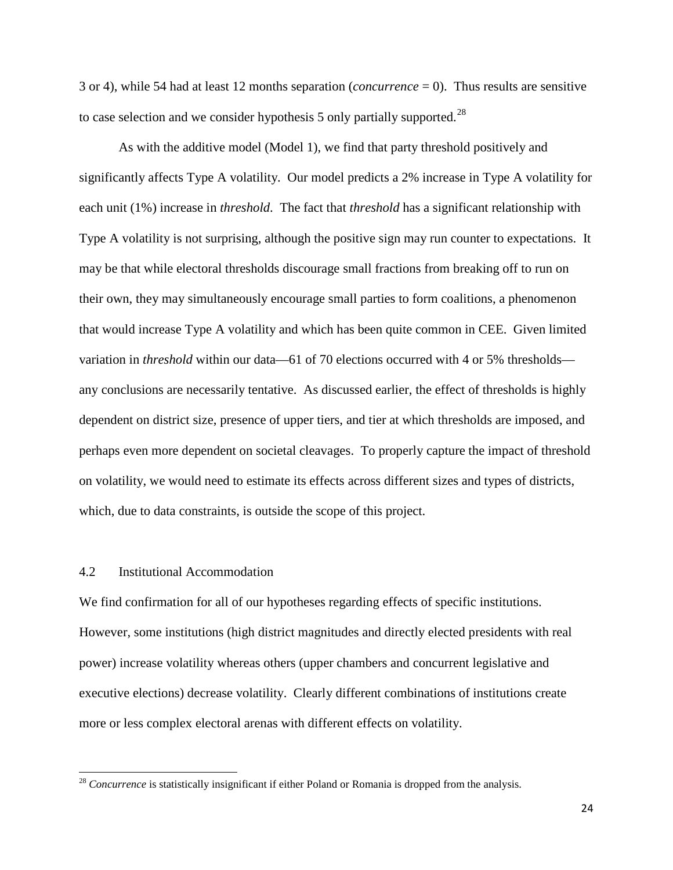3 or 4), while 54 had at least 12 months separation (*concurrence* = 0). Thus results are sensitive to case selection and we consider hypothesis 5 only partially supported.<sup>[28](#page-24-0)</sup>

As with the additive model (Model 1), we find that party threshold positively and significantly affects Type A volatility. Our model predicts a 2% increase in Type A volatility for each unit (1%) increase in *threshold*. The fact that *threshold* has a significant relationship with Type A volatility is not surprising, although the positive sign may run counter to expectations. It may be that while electoral thresholds discourage small fractions from breaking off to run on their own, they may simultaneously encourage small parties to form coalitions, a phenomenon that would increase Type A volatility and which has been quite common in CEE. Given limited variation in *threshold* within our data—61 of 70 elections occurred with 4 or 5% thresholds any conclusions are necessarily tentative. As discussed earlier, the effect of thresholds is highly dependent on district size, presence of upper tiers, and tier at which thresholds are imposed, and perhaps even more dependent on societal cleavages. To properly capture the impact of threshold on volatility, we would need to estimate its effects across different sizes and types of districts, which, due to data constraints, is outside the scope of this project.

## 4.2 Institutional Accommodation

We find confirmation for all of our hypotheses regarding effects of specific institutions. However, some institutions (high district magnitudes and directly elected presidents with real power) increase volatility whereas others (upper chambers and concurrent legislative and executive elections) decrease volatility. Clearly different combinations of institutions create more or less complex electoral arenas with different effects on volatility.

<span id="page-24-0"></span><sup>&</sup>lt;sup>28</sup> Concurrence is statistically insignificant if either Poland or Romania is dropped from the analysis.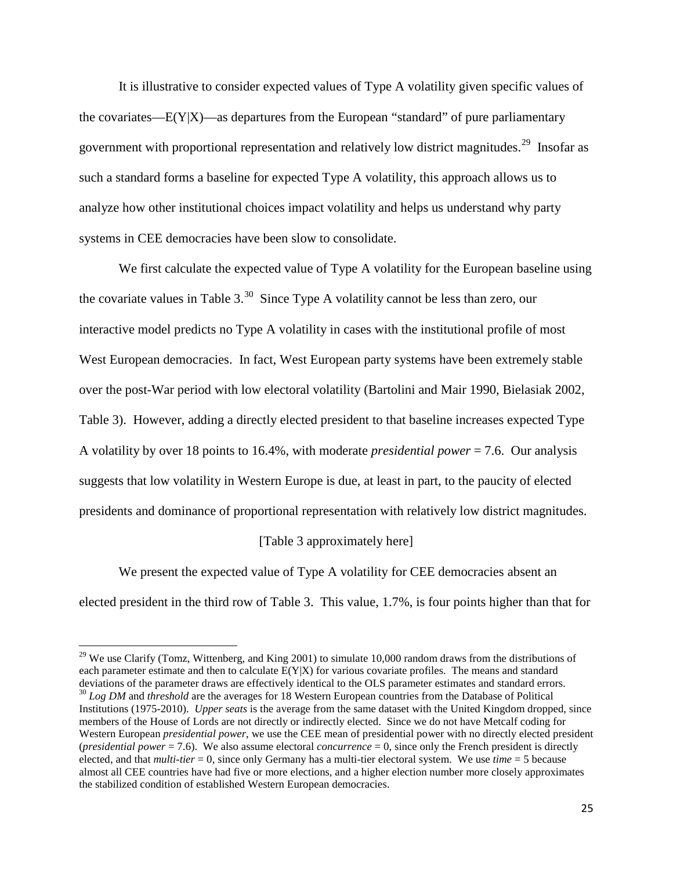It is illustrative to consider expected values of Type A volatility given specific values of the covariates— $E(Y|X)$ —as departures from the European "standard" of pure parliamentary government with proportional representation and relatively low district magnitudes.<sup>[29](#page-25-0)</sup> Insofar as such a standard forms a baseline for expected Type A volatility, this approach allows us to analyze how other institutional choices impact volatility and helps us understand why party systems in CEE democracies have been slow to consolidate.

We first calculate the expected value of Type A volatility for the European baseline using the covariate values in Table  $3^{30}$  $3^{30}$  $3^{30}$  Since Type A volatility cannot be less than zero, our interactive model predicts no Type A volatility in cases with the institutional profile of most West European democracies. In fact, West European party systems have been extremely stable over the post-War period with low electoral volatility (Bartolini and Mair 1990, Bielasiak 2002, Table 3). However, adding a directly elected president to that baseline increases expected Type A volatility by over 18 points to 16.4%, with moderate *presidential power* = 7.6. Our analysis suggests that low volatility in Western Europe is due, at least in part, to the paucity of elected presidents and dominance of proportional representation with relatively low district magnitudes.

### [Table 3 approximately here]

We present the expected value of Type A volatility for CEE democracies absent an elected president in the third row of Table 3. This value, 1.7%, is four points higher than that for

<span id="page-25-0"></span><sup>&</sup>lt;sup>29</sup> We use Clarify (Tomz, Wittenberg, and King 2001) to simulate 10,000 random draws from the distributions of each parameter estimate and then to calculate  $E(Y|X)$  for various covariate profiles. The means and standard deviations of the parameter draws are effectively identical to the OLS parameter estimates and standard errors.  $^{30}$  Log DM and threshold are the averages for 18 Western European countries from the Database of Political

<span id="page-25-1"></span>Institutions (1975-2010). *Upper seats* is the average from the same dataset with the United Kingdom dropped, since members of the House of Lords are not directly or indirectly elected. Since we do not have Metcalf coding for Western European *presidential power*, we use the CEE mean of presidential power with no directly elected president (*presidential power* = 7.6). We also assume electoral *concurrence* = 0, since only the French president is directly elected, and that *multi-tier* = 0, since only Germany has a multi-tier electoral system. We use *time* = 5 because almost all CEE countries have had five or more elections, and a higher election number more closely approximates the stabilized condition of established Western European democracies.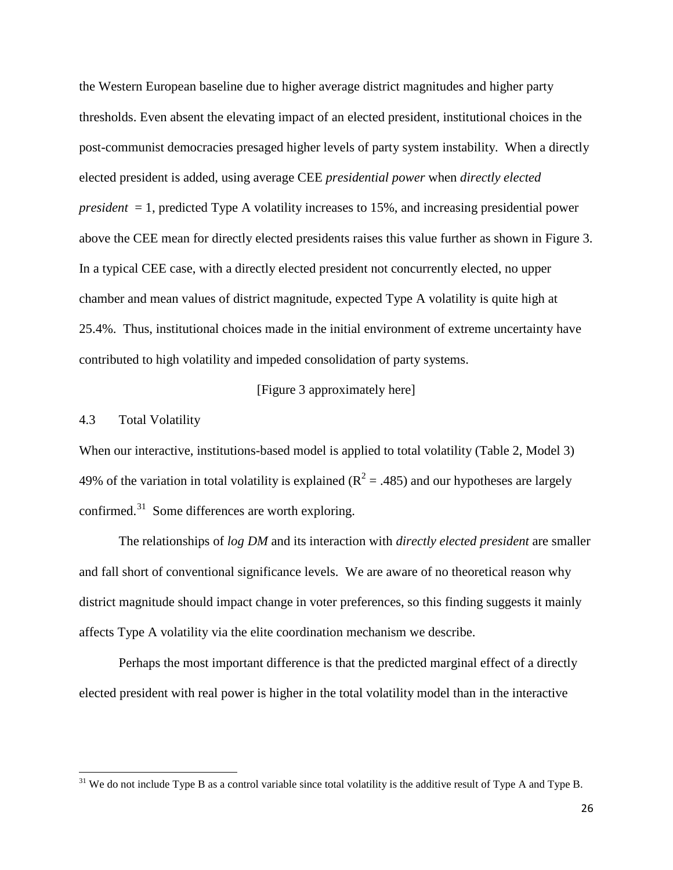the Western European baseline due to higher average district magnitudes and higher party thresholds. Even absent the elevating impact of an elected president, institutional choices in the post-communist democracies presaged higher levels of party system instability. When a directly elected president is added, using average CEE *presidential power* when *directly elected president* = 1, predicted Type A volatility increases to 15%, and increasing presidential power above the CEE mean for directly elected presidents raises this value further as shown in Figure 3. In a typical CEE case, with a directly elected president not concurrently elected, no upper chamber and mean values of district magnitude, expected Type A volatility is quite high at 25.4%. Thus, institutional choices made in the initial environment of extreme uncertainty have contributed to high volatility and impeded consolidation of party systems.

## [Figure 3 approximately here]

#### 4.3 Total Volatility

When our interactive, institutions-based model is applied to total volatility (Table 2, Model 3) 49% of the variation in total volatility is explained ( $R^2 = .485$ ) and our hypotheses are largely confirmed. $31$  Some differences are worth exploring.

The relationships of *log DM* and its interaction with *directly elected president* are smaller and fall short of conventional significance levels. We are aware of no theoretical reason why district magnitude should impact change in voter preferences, so this finding suggests it mainly affects Type A volatility via the elite coordination mechanism we describe.

Perhaps the most important difference is that the predicted marginal effect of a directly elected president with real power is higher in the total volatility model than in the interactive

<span id="page-26-0"></span> $31$  We do not include Type B as a control variable since total volatility is the additive result of Type A and Type B.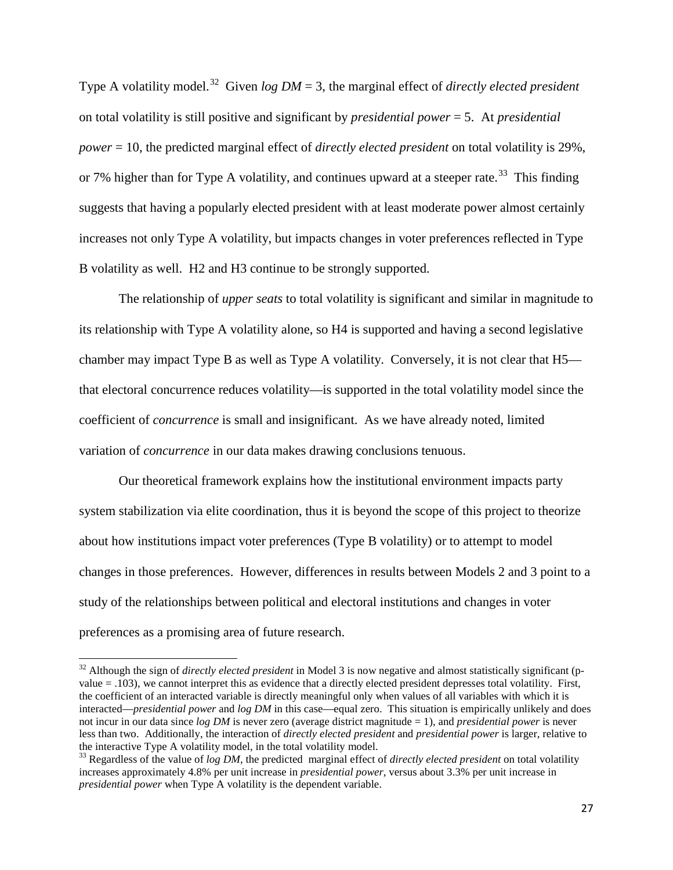Type A volatility model.[32](#page-27-0) Given *log DM* = 3, the marginal effect of *directly elected president* on total volatility is still positive and significant by *presidential power* = 5. At *presidential power* = 10, the predicted marginal effect of *directly elected president* on total volatility is 29%, or 7% higher than for Type A volatility, and continues upward at a steeper rate.<sup>[33](#page-27-1)</sup> This finding suggests that having a popularly elected president with at least moderate power almost certainly increases not only Type A volatility, but impacts changes in voter preferences reflected in Type B volatility as well. H2 and H3 continue to be strongly supported.

The relationship of *upper seats* to total volatility is significant and similar in magnitude to its relationship with Type A volatility alone, so H4 is supported and having a second legislative chamber may impact Type B as well as Type A volatility. Conversely, it is not clear that H5 that electoral concurrence reduces volatility—is supported in the total volatility model since the coefficient of *concurrence* is small and insignificant. As we have already noted, limited variation of *concurrence* in our data makes drawing conclusions tenuous.

Our theoretical framework explains how the institutional environment impacts party system stabilization via elite coordination, thus it is beyond the scope of this project to theorize about how institutions impact voter preferences (Type B volatility) or to attempt to model changes in those preferences. However, differences in results between Models 2 and 3 point to a study of the relationships between political and electoral institutions and changes in voter preferences as a promising area of future research.

<span id="page-27-0"></span><sup>&</sup>lt;sup>32</sup> Although the sign of *directly elected president* in Model 3 is now negative and almost statistically significant (pvalue = .103), we cannot interpret this as evidence that a directly elected president depresses total volatility. First, the coefficient of an interacted variable is directly meaningful only when values of all variables with which it is interacted—*presidential power* and *log DM* in this case—equal zero. This situation is empirically unlikely and does not incur in our data since *log DM* is never zero (average district magnitude = 1), and *presidential power* is never less than two. Additionally, the interaction of *directly elected president* and *presidential power* is larger, relative to the interactive Type A volatility model, in the total volatility model.

<span id="page-27-1"></span><sup>33</sup> Regardless of the value of *log DM*, the predicted marginal effect of *directly elected president* on total volatility increases approximately 4.8% per unit increase in *presidential power*, versus about 3.3% per unit increase in *presidential power* when Type A volatility is the dependent variable.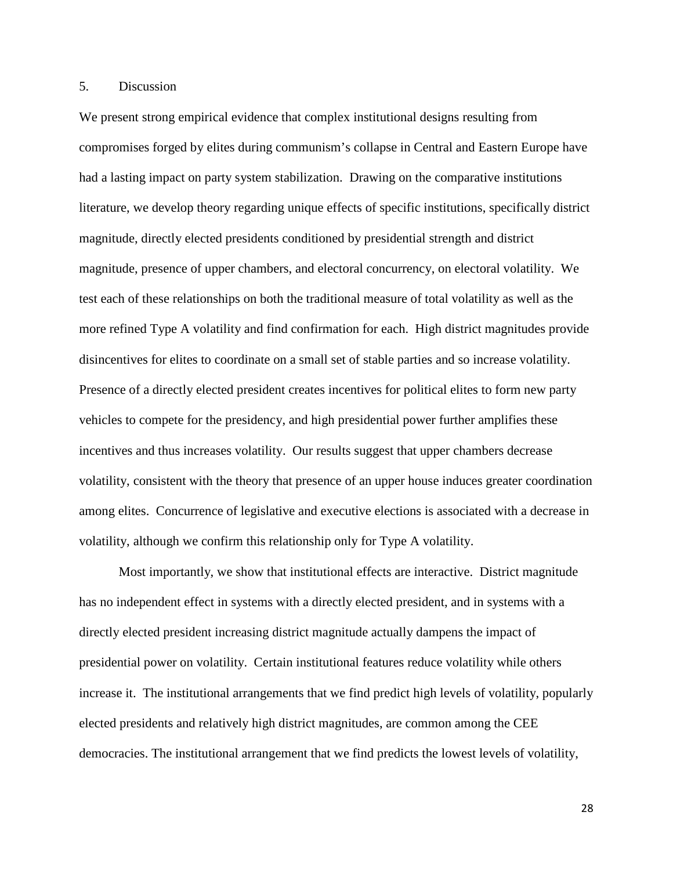## 5. Discussion

We present strong empirical evidence that complex institutional designs resulting from compromises forged by elites during communism's collapse in Central and Eastern Europe have had a lasting impact on party system stabilization. Drawing on the comparative institutions literature, we develop theory regarding unique effects of specific institutions, specifically district magnitude, directly elected presidents conditioned by presidential strength and district magnitude, presence of upper chambers, and electoral concurrency, on electoral volatility. We test each of these relationships on both the traditional measure of total volatility as well as the more refined Type A volatility and find confirmation for each. High district magnitudes provide disincentives for elites to coordinate on a small set of stable parties and so increase volatility. Presence of a directly elected president creates incentives for political elites to form new party vehicles to compete for the presidency, and high presidential power further amplifies these incentives and thus increases volatility. Our results suggest that upper chambers decrease volatility, consistent with the theory that presence of an upper house induces greater coordination among elites. Concurrence of legislative and executive elections is associated with a decrease in volatility, although we confirm this relationship only for Type A volatility.

Most importantly, we show that institutional effects are interactive. District magnitude has no independent effect in systems with a directly elected president, and in systems with a directly elected president increasing district magnitude actually dampens the impact of presidential power on volatility. Certain institutional features reduce volatility while others increase it. The institutional arrangements that we find predict high levels of volatility, popularly elected presidents and relatively high district magnitudes, are common among the CEE democracies. The institutional arrangement that we find predicts the lowest levels of volatility,

28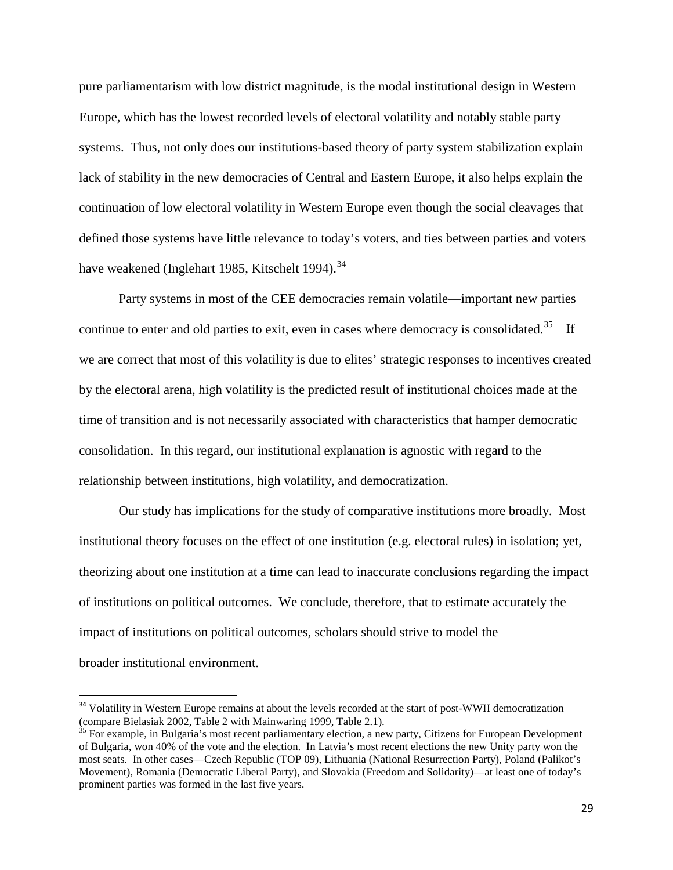pure parliamentarism with low district magnitude, is the modal institutional design in Western Europe, which has the lowest recorded levels of electoral volatility and notably stable party systems. Thus, not only does our institutions-based theory of party system stabilization explain lack of stability in the new democracies of Central and Eastern Europe, it also helps explain the continuation of low electoral volatility in Western Europe even though the social cleavages that defined those systems have little relevance to today's voters, and ties between parties and voters have weakened (Inglehart 1985, Kitschelt 1994).<sup>[34](#page-29-0)</sup>

Party systems in most of the CEE democracies remain volatile—important new parties continue to enter and old parties to exit, even in cases where democracy is consolidated.<sup>[35](#page-29-1)</sup> If we are correct that most of this volatility is due to elites' strategic responses to incentives created by the electoral arena, high volatility is the predicted result of institutional choices made at the time of transition and is not necessarily associated with characteristics that hamper democratic consolidation. In this regard, our institutional explanation is agnostic with regard to the relationship between institutions, high volatility, and democratization.

Our study has implications for the study of comparative institutions more broadly. Most institutional theory focuses on the effect of one institution (e.g. electoral rules) in isolation; yet, theorizing about one institution at a time can lead to inaccurate conclusions regarding the impact of institutions on political outcomes. We conclude, therefore, that to estimate accurately the impact of institutions on political outcomes, scholars should strive to model the broader institutional environment.

<span id="page-29-0"></span> $34$  Volatility in Western Europe remains at about the levels recorded at the start of post-WWII democratization (compare Bielasiak 2002, Table 2 with Mainwaring 1999, Table 2.1).

<span id="page-29-1"></span> $\frac{35}{35}$  For example, in Bulgaria's most recent parliamentary election, a new party, Citizens for European Development of Bulgaria, won 40% of the vote and the election. In Latvia's most recent elections the new Unity party won the most seats. In other cases—Czech Republic (TOP 09), Lithuania (National Resurrection Party), Poland (Palikot's Movement), Romania (Democratic Liberal Party), and Slovakia (Freedom and Solidarity)—at least one of today's prominent parties was formed in the last five years.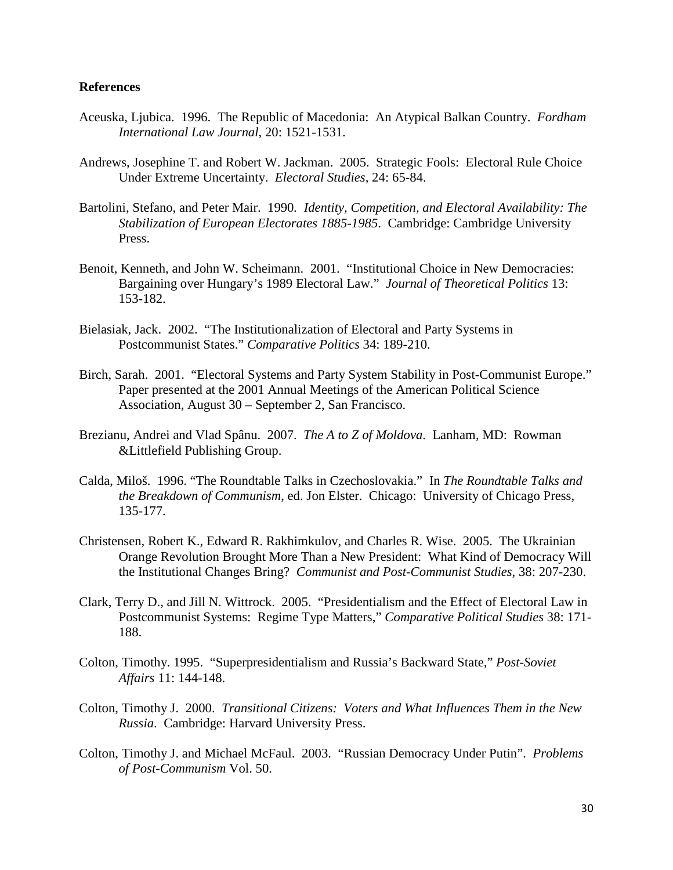## **References**

- Aceuska, Ljubica. 1996. The Republic of Macedonia: An Atypical Balkan Country. *Fordham International Law Journal*, 20: 1521-1531.
- Andrews, Josephine T. and Robert W. Jackman. 2005. Strategic Fools: Electoral Rule Choice Under Extreme Uncertainty. *Electoral Studies*, 24: 65-84.
- Bartolini, Stefano, and Peter Mair. 1990*. Identity, Competition, and Electoral Availability: The Stabilization of European Electorates 1885-1985*. Cambridge: Cambridge University Press.
- Benoit, Kenneth, and John W. Scheimann. 2001. "Institutional Choice in New Democracies: Bargaining over Hungary's 1989 Electoral Law." *Journal of Theoretical Politics* 13: 153-182.
- Bielasiak, Jack. 2002. "The Institutionalization of Electoral and Party Systems in Postcommunist States." *Comparative Politics* 34: 189-210.
- Birch, Sarah. 2001. "Electoral Systems and Party System Stability in Post-Communist Europe." Paper presented at the 2001 Annual Meetings of the American Political Science Association, August 30 – September 2, San Francisco.
- Brezianu, Andrei and Vlad Spânu. 2007. *The A to Z of Moldova*. Lanham, MD: Rowman &Littlefield Publishing Group.
- Calda, Miloš. 1996. "The Roundtable Talks in Czechoslovakia." In *The Roundtable Talks and the Breakdown of Communism*, ed. Jon Elster. Chicago: University of Chicago Press, 135-177.
- Christensen, Robert K., Edward R. Rakhimkulov, and Charles R. Wise. 2005. The Ukrainian Orange Revolution Brought More Than a New President: What Kind of Democracy Will the Institutional Changes Bring? *Communist and Post-Communist Studies*, 38: 207-230.
- Clark, Terry D., and Jill N. Wittrock. 2005. "Presidentialism and the Effect of Electoral Law in Postcommunist Systems: Regime Type Matters," *Comparative Political Studies* 38: 171- 188.
- Colton, Timothy. 1995. "Superpresidentialism and Russia's Backward State," *Post-Soviet Affairs* 11: 144-148.
- Colton, Timothy J. 2000. *Transitional Citizens: Voters and What Influences Them in the New Russia*. Cambridge: Harvard University Press.
- Colton, Timothy J. and Michael McFaul. 2003. "Russian Democracy Under Putin". *Problems of Post-Communism* Vol. 50.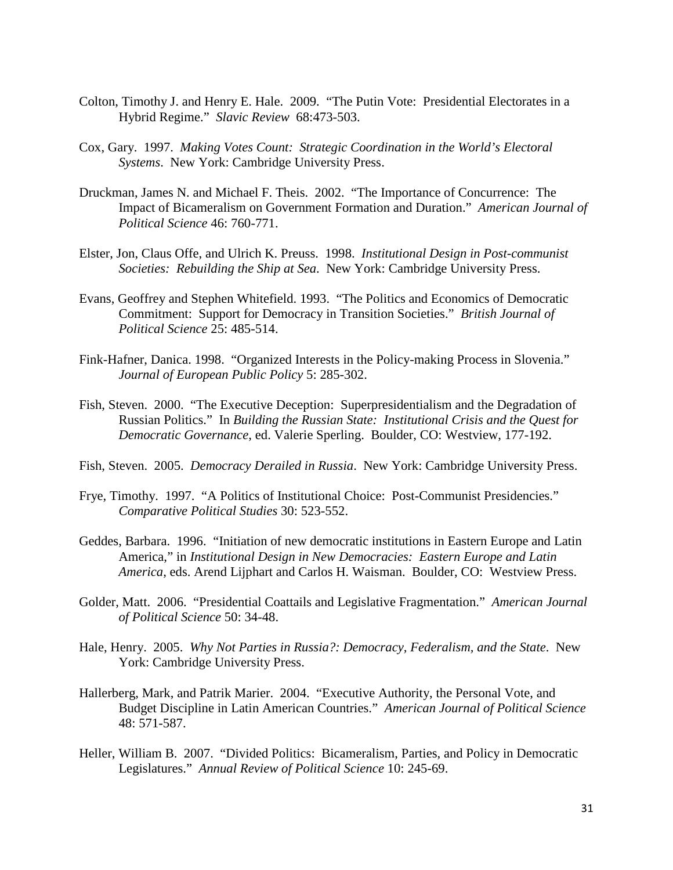- Colton, Timothy J. and Henry E. Hale. 2009. "The Putin Vote: Presidential Electorates in a Hybrid Regime." *Slavic Review* 68:473-503.
- Cox, Gary. 1997. *Making Votes Count: Strategic Coordination in the World's Electoral Systems*. New York: Cambridge University Press.
- Druckman, James N. and Michael F. Theis. 2002. "The Importance of Concurrence: The Impact of Bicameralism on Government Formation and Duration." *American Journal of Political Science* 46: 760-771.
- Elster, Jon, Claus Offe, and Ulrich K. Preuss. 1998. *Institutional Design in Post-communist Societies: Rebuilding the Ship at Sea*. New York: Cambridge University Press.
- Evans, Geoffrey and Stephen Whitefield. 1993. "The Politics and Economics of Democratic Commitment: Support for Democracy in Transition Societies." *British Journal of Political Science* 25: 485-514.
- Fink-Hafner, Danica. 1998. "Organized Interests in the Policy-making Process in Slovenia." *Journal of European Public Policy* 5: 285-302.
- Fish, Steven. 2000. "The Executive Deception: Superpresidentialism and the Degradation of Russian Politics." In *Building the Russian State: Institutional Crisis and the Quest for Democratic Governance*, ed. Valerie Sperling. Boulder, CO: Westview, 177-192.
- Fish, Steven. 2005. *Democracy Derailed in Russia*. New York: Cambridge University Press.
- Frye, Timothy. 1997. "A Politics of Institutional Choice: Post-Communist Presidencies." *Comparative Political Studies* 30: 523-552.
- Geddes, Barbara. 1996. "Initiation of new democratic institutions in Eastern Europe and Latin America," in *Institutional Design in New Democracies: Eastern Europe and Latin America*, eds. Arend Lijphart and Carlos H. Waisman. Boulder, CO: Westview Press.
- Golder, Matt. 2006. "Presidential Coattails and Legislative Fragmentation." *American Journal of Political Science* 50: 34-48.
- Hale, Henry. 2005. *Why Not Parties in Russia?: Democracy, Federalism, and the State*. New York: Cambridge University Press.
- Hallerberg, Mark, and Patrik Marier. 2004. "Executive Authority, the Personal Vote, and Budget Discipline in Latin American Countries." *American Journal of Political Science* 48: 571-587.
- Heller, William B. 2007. "Divided Politics: Bicameralism, Parties, and Policy in Democratic Legislatures." *Annual Review of Political Science* 10: 245-69.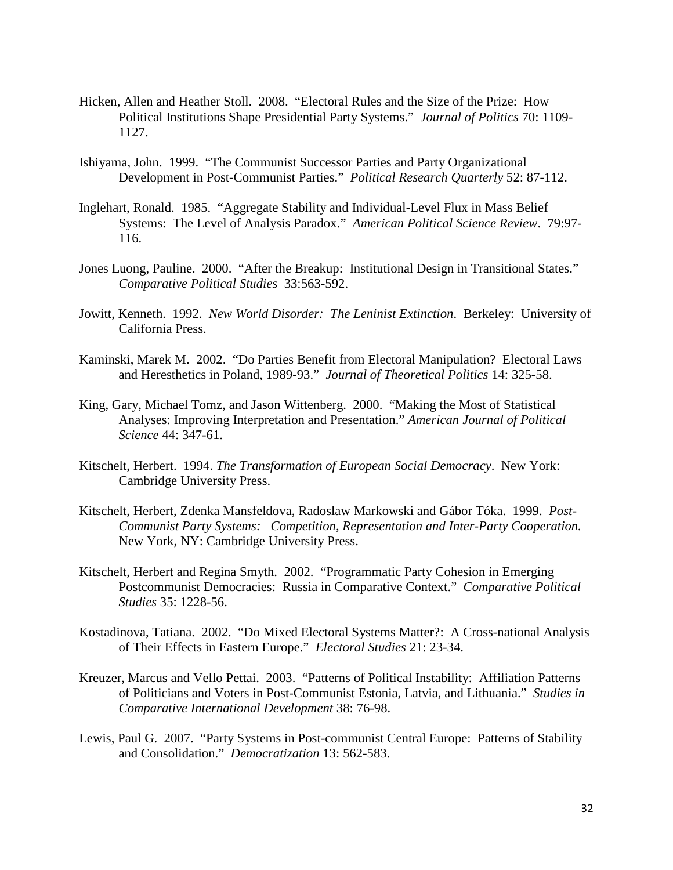- Hicken, Allen and Heather Stoll. 2008. "Electoral Rules and the Size of the Prize: How Political Institutions Shape Presidential Party Systems." *Journal of Politics* 70: 1109- 1127.
- Ishiyama, John. 1999. "The Communist Successor Parties and Party Organizational Development in Post-Communist Parties." *Political Research Quarterly* 52: 87-112.
- Inglehart, Ronald. 1985. "Aggregate Stability and Individual-Level Flux in Mass Belief Systems: The Level of Analysis Paradox." *American Political Science Review*. 79:97- 116.
- Jones Luong, Pauline. 2000. "After the Breakup: Institutional Design in Transitional States." *Comparative Political Studies* 33:563-592.
- Jowitt, Kenneth. 1992. *New World Disorder: The Leninist Extinction*. Berkeley: University of California Press.
- Kaminski, Marek M. 2002. "Do Parties Benefit from Electoral Manipulation? Electoral Laws and Heresthetics in Poland, 1989-93." *Journal of Theoretical Politics* 14: 325-58.
- King, Gary, Michael Tomz, and Jason Wittenberg. 2000. "Making the Most of Statistical Analyses: Improving Interpretation and Presentation." *American Journal of Political Science* 44: 347-61.
- Kitschelt, Herbert. 1994. *The Transformation of European Social Democracy*. New York: Cambridge University Press.
- Kitschelt, Herbert, Zdenka Mansfeldova, Radoslaw Markowski and Gábor Tóka. 1999. *Post-Communist Party Systems: Competition, Representation and Inter-Party Cooperation.* New York, NY: Cambridge University Press.
- Kitschelt, Herbert and Regina Smyth. 2002. "Programmatic Party Cohesion in Emerging Postcommunist Democracies: Russia in Comparative Context." *Comparative Political Studies* 35: 1228-56.
- Kostadinova, Tatiana. 2002. "Do Mixed Electoral Systems Matter?: A Cross-national Analysis of Their Effects in Eastern Europe." *Electoral Studies* 21: 23-34.
- Kreuzer, Marcus and Vello Pettai. 2003. "Patterns of Political Instability: Affiliation Patterns of Politicians and Voters in Post-Communist Estonia, Latvia, and Lithuania." *Studies in Comparative International Development* 38: 76-98.
- Lewis, Paul G. 2007. "Party Systems in Post-communist Central Europe: Patterns of Stability and Consolidation." *Democratization* 13: 562-583.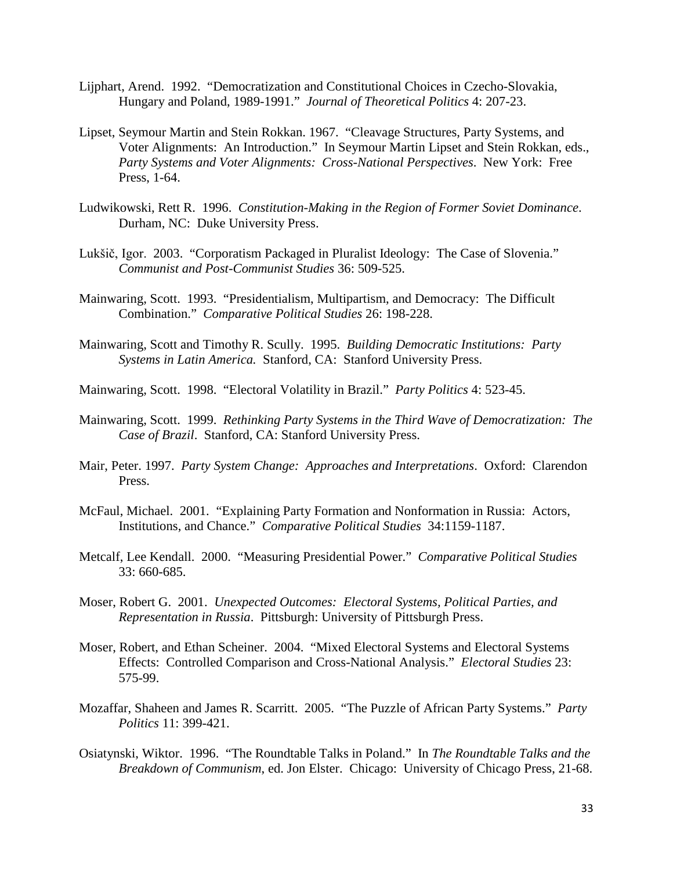- Lijphart, Arend. 1992. "Democratization and Constitutional Choices in Czecho-Slovakia, Hungary and Poland, 1989-1991." *Journal of Theoretical Politics* 4: 207-23.
- Lipset, Seymour Martin and Stein Rokkan. 1967. "Cleavage Structures, Party Systems, and Voter Alignments: An Introduction." In Seymour Martin Lipset and Stein Rokkan, eds., *Party Systems and Voter Alignments: Cross-National Perspectives*. New York: Free Press, 1-64.
- Ludwikowski, Rett R. 1996. *Constitution-Making in the Region of Former Soviet Dominance*. Durham, NC: Duke University Press.
- Lukšič, Igor. 2003. "Corporatism Packaged in Pluralist Ideology: The Case of Slovenia." *Communist and Post-Communist Studies* 36: 509-525.
- Mainwaring, Scott. 1993. "Presidentialism, Multipartism, and Democracy: The Difficult Combination." *Comparative Political Studies* 26: 198-228.
- Mainwaring, Scott and Timothy R. Scully. 1995. *Building Democratic Institutions: Party Systems in Latin America.* Stanford, CA: Stanford University Press.
- Mainwaring, Scott. 1998. "Electoral Volatility in Brazil." *Party Politics* 4: 523-45.
- Mainwaring, Scott. 1999. *Rethinking Party Systems in the Third Wave of Democratization: The Case of Brazil*. Stanford, CA: Stanford University Press.
- Mair, Peter. 1997. *Party System Change: Approaches and Interpretations*. Oxford: Clarendon Press.
- McFaul, Michael. 2001. "Explaining Party Formation and Nonformation in Russia: Actors, Institutions, and Chance." *Comparative Political Studies* 34:1159-1187.
- Metcalf, Lee Kendall. 2000. "Measuring Presidential Power." *Comparative Political Studies*  33: 660-685.
- Moser, Robert G. 2001. *Unexpected Outcomes: Electoral Systems, Political Parties, and Representation in Russia*. Pittsburgh: University of Pittsburgh Press.
- Moser, Robert, and Ethan Scheiner. 2004. "Mixed Electoral Systems and Electoral Systems Effects: Controlled Comparison and Cross-National Analysis." *Electoral Studies* 23: 575-99.
- Mozaffar, Shaheen and James R. Scarritt. 2005. "The Puzzle of African Party Systems." *Party Politics* 11: 399-421.
- Osiatynski, Wiktor. 1996. "The Roundtable Talks in Poland." In *The Roundtable Talks and the Breakdown of Communism*, ed. Jon Elster. Chicago: University of Chicago Press, 21-68.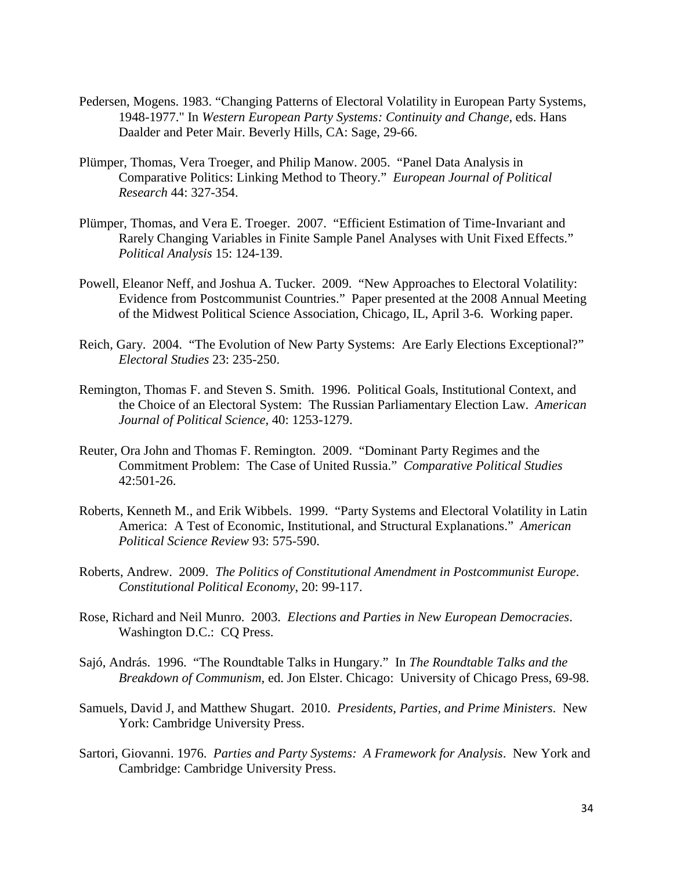- Pedersen, Mogens. 1983. "Changing Patterns of Electoral Volatility in European Party Systems, 1948-1977." In *Western European Party Systems: Continuity and Change*, eds. Hans Daalder and Peter Mair. Beverly Hills, CA: Sage, 29-66.
- Plümper, Thomas, Vera Troeger, and Philip Manow. 2005. "Panel Data Analysis in Comparative Politics: Linking Method to Theory." *European Journal of Political Research* 44: 327-354.
- Plümper, Thomas, and Vera E. Troeger. 2007. "Efficient Estimation of Time-Invariant and Rarely Changing Variables in Finite Sample Panel Analyses with Unit Fixed Effects." *Political Analysis* 15: 124-139.
- Powell, Eleanor Neff, and Joshua A. Tucker. 2009. "New Approaches to Electoral Volatility: Evidence from Postcommunist Countries." Paper presented at the 2008 Annual Meeting of the Midwest Political Science Association, Chicago, IL, April 3-6. Working paper.
- Reich, Gary. 2004. "The Evolution of New Party Systems: Are Early Elections Exceptional?" *Electoral Studies* 23: 235-250.
- Remington, Thomas F. and Steven S. Smith. 1996. Political Goals, Institutional Context, and the Choice of an Electoral System: The Russian Parliamentary Election Law. *American Journal of Political Science*, 40: 1253-1279.
- Reuter, Ora John and Thomas F. Remington. 2009. "Dominant Party Regimes and the Commitment Problem: The Case of United Russia." *Comparative Political Studies*  42:501-26.
- Roberts, Kenneth M., and Erik Wibbels. 1999. "Party Systems and Electoral Volatility in Latin America: A Test of Economic, Institutional, and Structural Explanations." *American Political Science Review* 93: 575-590.
- Roberts, Andrew. 2009. *The Politics of Constitutional Amendment in Postcommunist Europe*. *Constitutional Political Economy*, 20: 99-117.
- Rose, Richard and Neil Munro. 2003. *Elections and Parties in New European Democracies*. Washington D.C.: CQ Press.
- Sajó, András. 1996. "The Roundtable Talks in Hungary." In *The Roundtable Talks and the Breakdown of Communism*, ed. Jon Elster. Chicago: University of Chicago Press, 69-98.
- Samuels, David J, and Matthew Shugart. 2010. *Presidents, Parties, and Prime Ministers*. New York: Cambridge University Press.
- Sartori, Giovanni. 1976. *Parties and Party Systems: A Framework for Analysis*. New York and Cambridge: Cambridge University Press.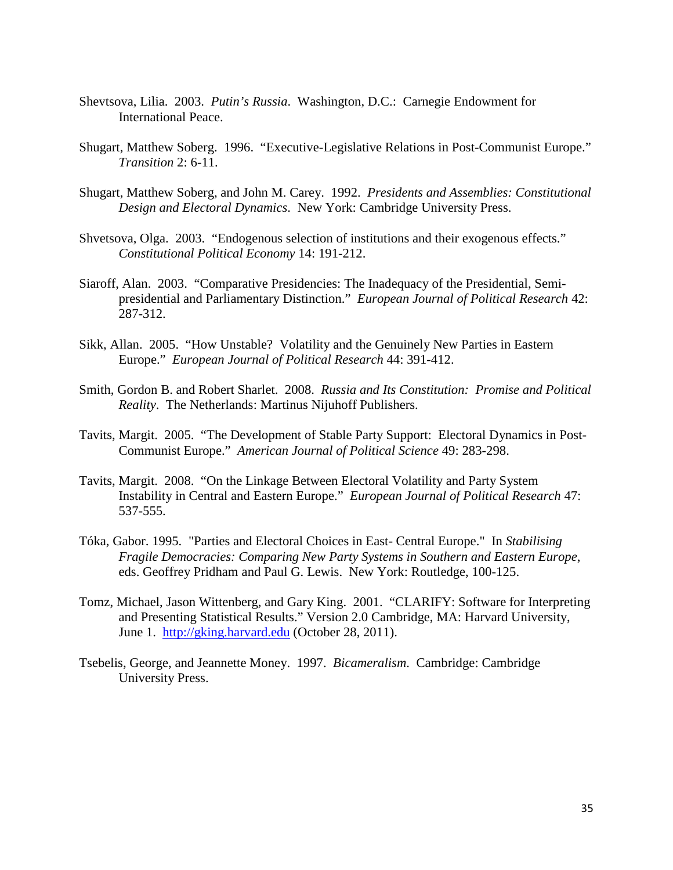- Shevtsova, Lilia. 2003. *Putin's Russia*. Washington, D.C.: Carnegie Endowment for International Peace.
- Shugart, Matthew Soberg. 1996. "Executive-Legislative Relations in Post-Communist Europe." *Transition* 2: 6-11.
- Shugart, Matthew Soberg, and John M. Carey. 1992. *Presidents and Assemblies: Constitutional Design and Electoral Dynamics*. New York: Cambridge University Press.
- Shvetsova, Olga. 2003. "Endogenous selection of institutions and their exogenous effects." *Constitutional Political Economy* 14: 191-212.
- Siaroff, Alan. 2003. "Comparative Presidencies: The Inadequacy of the Presidential, Semipresidential and Parliamentary Distinction." *European Journal of Political Research* 42: 287-312.
- Sikk, Allan. 2005. "How Unstable? Volatility and the Genuinely New Parties in Eastern Europe." *European Journal of Political Research* 44: 391-412.
- Smith, Gordon B. and Robert Sharlet. 2008. *Russia and Its Constitution: Promise and Political Reality*. The Netherlands: Martinus Nijuhoff Publishers.
- Tavits, Margit. 2005. "The Development of Stable Party Support: Electoral Dynamics in Post-Communist Europe." *American Journal of Political Science* 49: 283-298.
- Tavits, Margit. 2008. "On the Linkage Between Electoral Volatility and Party System Instability in Central and Eastern Europe." *European Journal of Political Research* 47: 537-555.
- Tóka, Gabor. 1995. "Parties and Electoral Choices in East- Central Europe." In *Stabilising Fragile Democracies: Comparing New Party Systems in Southern and Eastern Europe*, eds. Geoffrey Pridham and Paul G. Lewis. New York: Routledge, 100-125.
- Tomz, Michael, Jason Wittenberg, and Gary King. 2001. "CLARIFY: Software for Interpreting and Presenting Statistical Results." Version 2.0 Cambridge, MA: Harvard University, June 1. [http://gking.harvard.edu](http://gking.harvard.edu/) (October 28, 2011).
- Tsebelis, George, and Jeannette Money. 1997. *Bicameralism*. Cambridge: Cambridge University Press.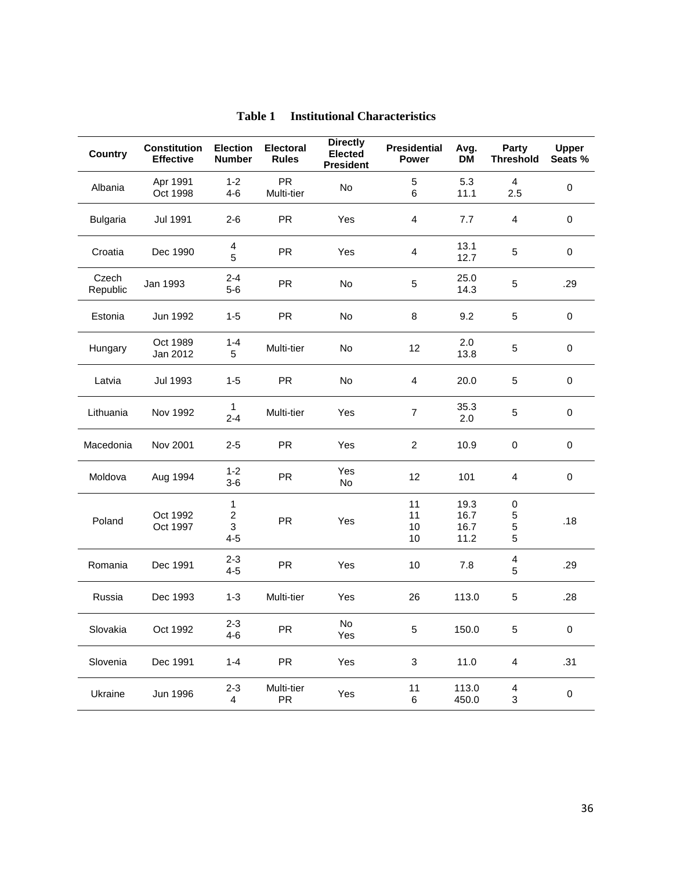| <b>Country</b>    | <b>Constitution</b><br><b>Effective</b> | <b>Election</b><br><b>Number</b>               | <b>Electoral</b><br><b>Rules</b> | <b>Directly</b><br><b>Elected</b><br><b>President</b> | <b>Presidential</b><br>Power | Avg.<br><b>DM</b>            | Party<br><b>Threshold</b> | <b>Upper</b><br>Seats % |
|-------------------|-----------------------------------------|------------------------------------------------|----------------------------------|-------------------------------------------------------|------------------------------|------------------------------|---------------------------|-------------------------|
| Albania           | Apr 1991<br>Oct 1998                    | $1 - 2$<br>$4 - 6$                             | <b>PR</b><br>Multi-tier          | No                                                    | 5<br>6                       | 5.3<br>11.1                  | $\overline{4}$<br>2.5     | 0                       |
| <b>Bulgaria</b>   | <b>Jul 1991</b>                         | $2 - 6$                                        | <b>PR</b>                        | Yes                                                   | 4                            | 7.7                          | $\overline{4}$            | 0                       |
| Croatia           | Dec 1990                                | $\overline{4}$<br>5                            | <b>PR</b>                        | Yes                                                   | 4                            | 13.1<br>12.7                 | 5                         | 0                       |
| Czech<br>Republic | Jan 1993                                | $2 - 4$<br>$5-6$                               | <b>PR</b>                        | No                                                    | 5                            | 25.0<br>14.3                 | 5                         | .29                     |
| Estonia           | Jun 1992                                | $1 - 5$                                        | <b>PR</b>                        | No                                                    | 8                            | 9.2                          | 5                         | 0                       |
| Hungary           | Oct 1989<br>Jan 2012                    | $1 - 4$<br>5                                   | Multi-tier                       | No                                                    | 12                           | 2.0<br>13.8                  | 5                         | 0                       |
| Latvia            | Jul 1993                                | $1 - 5$                                        | <b>PR</b>                        | No                                                    | 4                            | 20.0                         | 5                         | 0                       |
| Lithuania         | Nov 1992                                | $\mathbf{1}$<br>$2 - 4$                        | Multi-tier                       | Yes                                                   | $\overline{7}$               | 35.3<br>2.0                  | 5                         | 0                       |
| Macedonia         | Nov 2001                                | $2 - 5$                                        | <b>PR</b>                        | Yes                                                   | $\overline{2}$               | 10.9                         | $\pmb{0}$                 | 0                       |
| Moldova           | Aug 1994                                | $1 - 2$<br>$3-6$                               | <b>PR</b>                        | Yes<br>No                                             | 12                           | 101                          | 4                         | 0                       |
| Poland            | Oct 1992<br>Oct 1997                    | $\mathbf{1}$<br>$\overline{c}$<br>3<br>$4 - 5$ | <b>PR</b>                        | Yes                                                   | 11<br>11<br>10<br>10         | 19.3<br>16.7<br>16.7<br>11.2 | $\pmb{0}$<br>5<br>5<br>5  | .18                     |
| Romania           | Dec 1991                                | $2 - 3$<br>$4 - 5$                             | <b>PR</b>                        | Yes                                                   | 10                           | 7.8                          | 4<br>5                    | .29                     |
| Russia            | Dec 1993                                | $1 - 3$                                        | Multi-tier                       | Yes                                                   | 26                           | 113.0                        | 5                         | .28                     |
| Slovakia          | Oct 1992                                | $2 - 3$<br>$4 - 6$                             | PR                               | No<br>Yes                                             | 5 <sup>5</sup>               | 150.0                        | 5                         | 0                       |
| Slovenia          | Dec 1991                                | $1 - 4$                                        | <b>PR</b>                        | Yes                                                   | $\sqrt{3}$                   | 11.0                         | $\overline{\mathbf{4}}$   | .31                     |
| Ukraine           | Jun 1996                                | $2 - 3$<br>4                                   | Multi-tier<br>PR                 | Yes                                                   | 11<br>$\,6$                  | 113.0<br>450.0               | $\overline{4}$<br>3       | 0                       |

## **Table 1 Institutional Characteristics**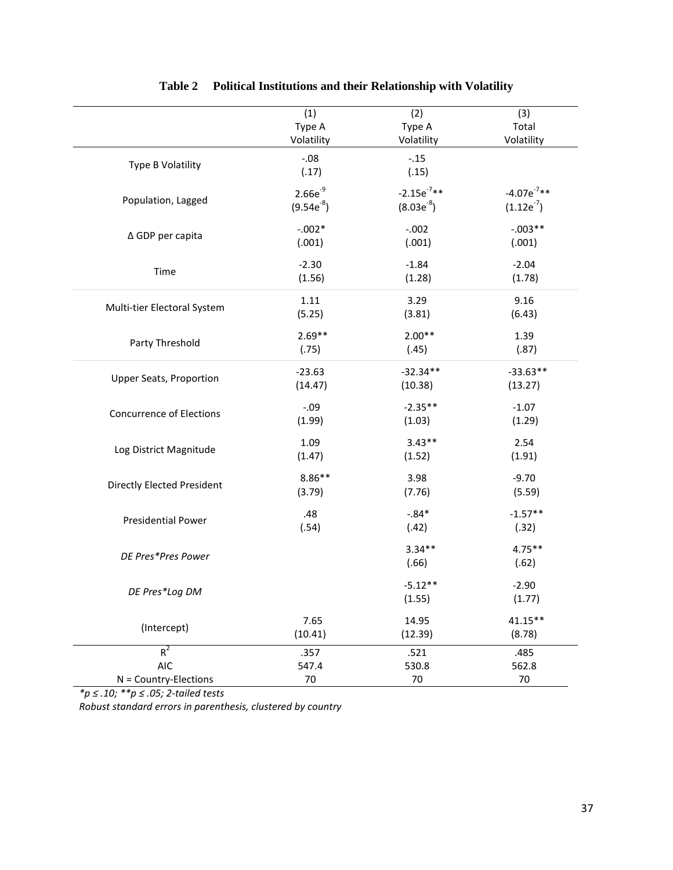|                                   | (1)             | (2)                 | (3)                |
|-----------------------------------|-----------------|---------------------|--------------------|
|                                   | Type A          | Type A              | Total              |
|                                   | Volatility      | Volatility          | Volatility         |
| Type B Volatility                 | $-.08$<br>(.17) | $-.15$<br>(.15)     |                    |
| Population, Lagged                | $2.66e^{-9}$    | $-2.15e^{-7**}$     | $-4.07e^{-7**}$    |
|                                   | $(9.54e^{-8})$  | $(8.03e^{-8})$      | $(1.12e^{-7})$     |
| ∆ GDP per capita                  | $-.002*$        | $-.002$             | $-.003**$          |
|                                   | (.001)          | (.001)              | (.001)             |
| Time                              | $-2.30$         | $-1.84$             | $-2.04$            |
|                                   | (1.56)          | (1.28)              | (1.78)             |
| Multi-tier Electoral System       | 1.11            | 3.29                | 9.16               |
|                                   | (5.25)          | (3.81)              | (6.43)             |
| Party Threshold                   | $2.69**$        | $2.00**$            | 1.39               |
|                                   | (.75)           | (.45)               | (.87)              |
| <b>Upper Seats, Proportion</b>    | $-23.63$        | $-32.34**$          | $-33.63**$         |
|                                   | (14.47)         | (10.38)             | (13.27)            |
| <b>Concurrence of Elections</b>   | $-.09$          | $-2.35**$           | $-1.07$            |
|                                   | (1.99)          | (1.03)              | (1.29)             |
| Log District Magnitude            | 1.09            | $3.43**$            | 2.54               |
|                                   | (1.47)          | (1.52)              | (1.91)             |
| <b>Directly Elected President</b> | $8.86**$        | 3.98                | $-9.70$            |
|                                   | (3.79)          | (7.76)              | (5.59)             |
| <b>Presidential Power</b>         | .48             | $-.84*$             | $-1.57**$          |
|                                   | (.54)           | (.42)               | (.32)              |
| DE Pres*Pres Power                |                 | $3.34**$<br>(.66)   | $4.75***$<br>(.62) |
| DE Pres*Log DM                    |                 | $-5.12**$<br>(1.55) | $-2.90$<br>(1.77)  |
| (Intercept)                       | 7.65            | 14.95               | 41.15**            |
|                                   | (10.41)         | (12.39)             | (8.78)             |
| $R^2$                             | .357            | .521                | .485               |
| <b>AIC</b>                        | 547.4           | 530.8               | 562.8              |
| $N = Country-Elections$           | 70              | 70                  | 70                 |

## **Table 2 Political Institutions and their Relationship with Volatility**

*\*p ≤ .10; \*\*p ≤ .05; 2-tailed tests Robust standard errors in parenthesis, clustered by country*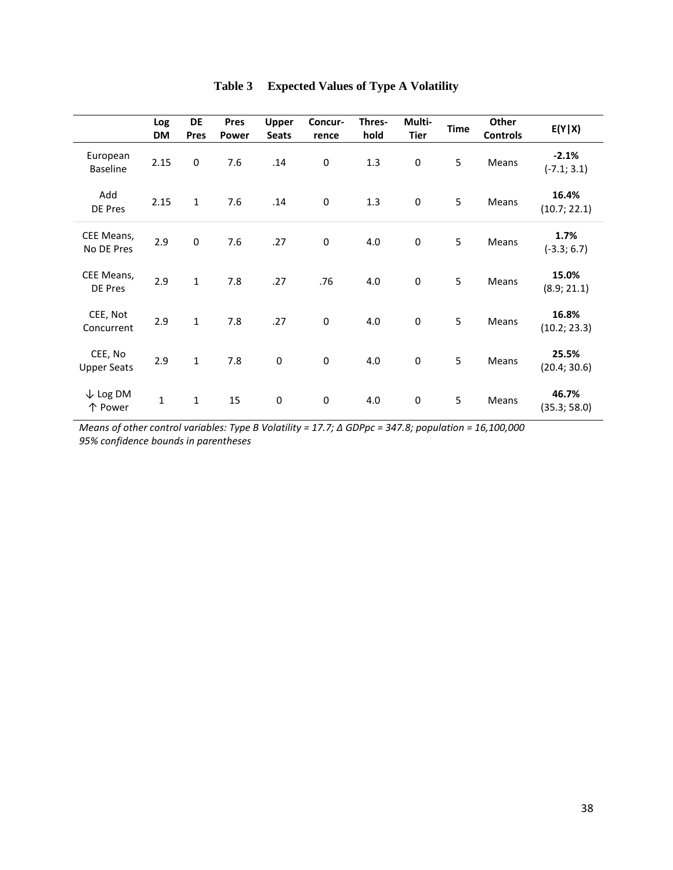|                                | Log<br><b>DM</b> | <b>DE</b><br>Pres | <b>Pres</b><br><b>Power</b> | <b>Upper</b><br><b>Seats</b> | Concur-<br>rence | Thres-<br>hold | Multi-<br><b>Tier</b> | <b>Time</b> | Other<br><b>Controls</b> | E(Y X)                   |
|--------------------------------|------------------|-------------------|-----------------------------|------------------------------|------------------|----------------|-----------------------|-------------|--------------------------|--------------------------|
| European<br><b>Baseline</b>    | 2.15             | $\pmb{0}$         | 7.6                         | .14                          | $\mathbf 0$      | 1.3            | $\boldsymbol{0}$      | 5           | Means                    | $-2.1%$<br>$(-7.1; 3.1)$ |
| Add<br>DE Pres                 | 2.15             | $\mathbf{1}$      | 7.6                         | .14                          | 0                | 1.3            | $\pmb{0}$             | 5           | Means                    | 16.4%<br>(10.7; 22.1)    |
| CEE Means,<br>No DE Pres       | 2.9              | $\pmb{0}$         | 7.6                         | .27                          | $\mathbf 0$      | 4.0            | $\pmb{0}$             | 5           | Means                    | 1.7%<br>$(-3.3; 6.7)$    |
| CEE Means,<br>DE Pres          | 2.9              | $\mathbf{1}$      | 7.8                         | .27                          | .76              | 4.0            | $\pmb{0}$             | 5           | Means                    | 15.0%<br>(8.9; 21.1)     |
| CEE, Not<br>Concurrent         | 2.9              | $\mathbf 1$       | 7.8                         | .27                          | $\pmb{0}$        | 4.0            | $\mathbf 0$           | 5           | Means                    | 16.8%<br>(10.2; 23.3)    |
| CEE, No<br><b>Upper Seats</b>  | 2.9              | $\mathbf{1}$      | 7.8                         | $\pmb{0}$                    | $\pmb{0}$        | 4.0            | $\pmb{0}$             | 5           | Means                    | 25.5%<br>(20.4; 30.6)    |
| $\downarrow$ Log DM<br>个 Power | $\mathbf{1}$     | $\mathbf 1$       | 15                          | 0                            | $\pmb{0}$        | 4.0            | $\boldsymbol{0}$      | 5           | Means                    | 46.7%<br>(35.3; 58.0)    |

|  | Table 3 Expected Values of Type A Volatility |  |  |  |  |
|--|----------------------------------------------|--|--|--|--|
|--|----------------------------------------------|--|--|--|--|

*Means of other control variables: Type B Volatility = 17.7; Δ GDPpc = 347.8; population = 16,100,000 95% confidence bounds in parentheses*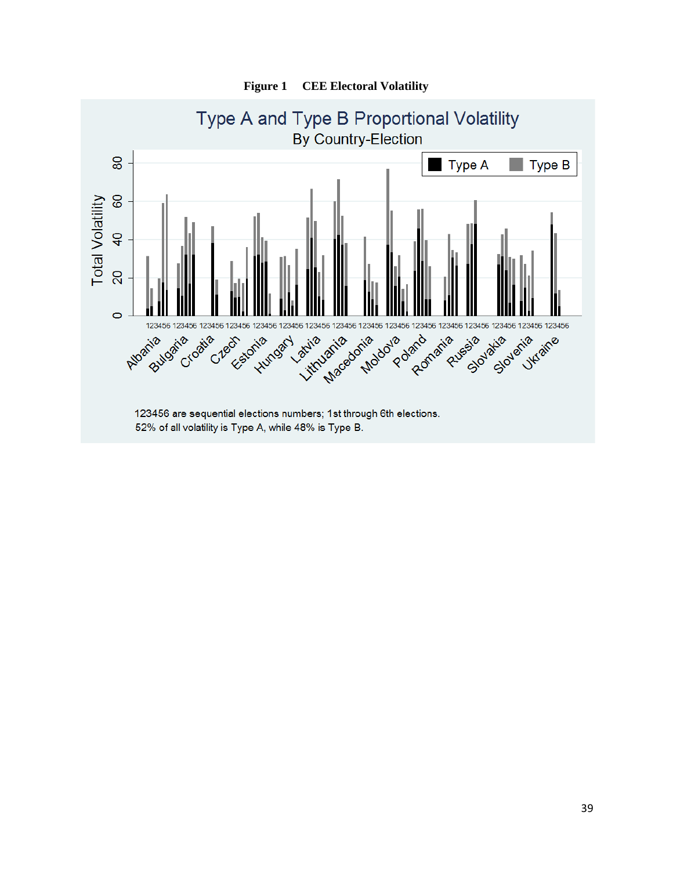

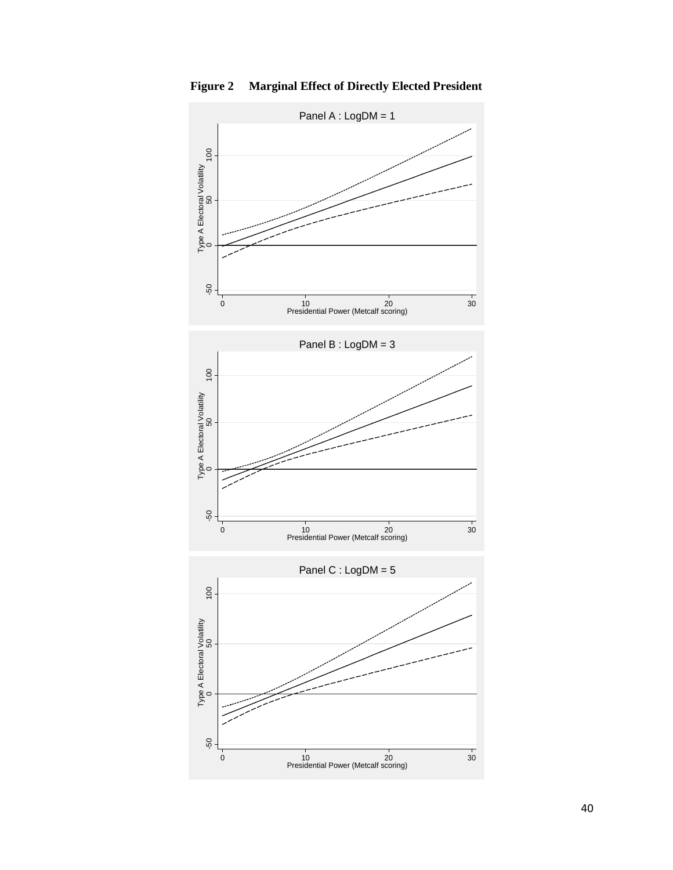

**Figure 2 Marginal Effect of Directly Elected President**